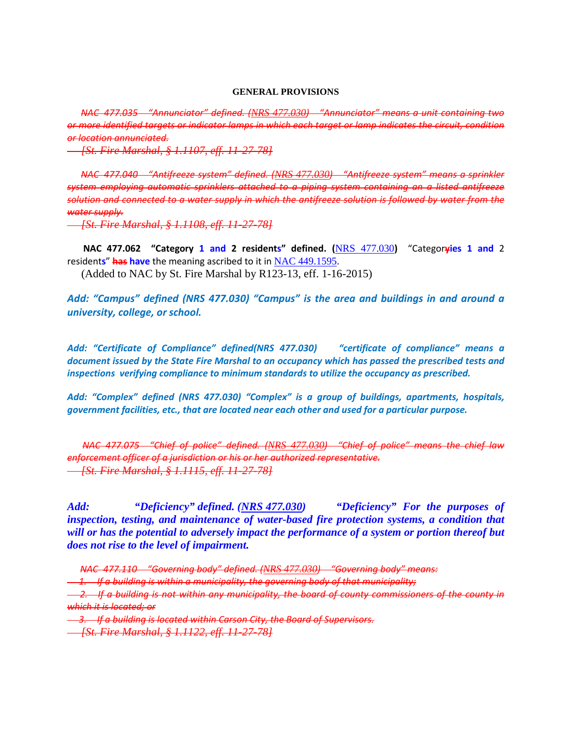#### **GENERAL PROVISIONS**

 *NAC 477.035 "Annunciator" defined. ([NRS 477.030](https://www.leg.state.nv.us/NRS/NRS-477.html#NRS477Sec030)) "Annunciator" means a unit containing two or more identified targets or indicator lamps in which each target or lamp indicates the circuit, condition or location annunciated.*

 *[St. Fire Marshal, § 1.1107, eff. 11-27-78]*

 *NAC 477.040 "Antifreeze system" defined. ([NRS 477.030](https://www.leg.state.nv.us/NRS/NRS-477.html#NRS477Sec030)) "Antifreeze system" means a sprinkler system employing automatic sprinklers attached to a piping system containing an a listed antifreeze solution and connected to a water supply in which the antifreeze solution is followed by water from the water supply.*

 *[St. Fire Marshal, § 1.1108, eff. 11-27-78]*

 **NAC 477.062 "Category 1 and 2 residents" defined. (**[NRS 477.030](https://www.leg.state.nv.us/NRS/NRS-477.html#NRS477Sec030)**)** "Categor**yies 1 and** 2 resident**s**" **has have** the meaning ascribed to it in [NAC 449.1595](https://www.leg.state.nv.us/NAC/NAC-449.html#NAC449Sec1595).

(Added to NAC by St. Fire Marshal by R123-13, eff. 1-16-2015)

*Add: "Campus" defined (NRS 477.030) "Campus" is the area and buildings in and around a university, college, or school.*

*Add: "Certificate of Compliance" defined(NRS 477.030) "certificate of compliance" means a document issued by the State Fire Marshal to an occupancy which has passed the prescribed tests and inspections verifying compliance to minimum standards to utilize the occupancy as prescribed.*

*Add: "Complex" defined (NRS 477.030) "Complex" is a group of buildings, apartments, hospitals, government facilities, etc., that are located near each other and used for a particular purpose.*

 *NAC 477.075 "Chief of police" defined. ([NRS 477.030](https://www.leg.state.nv.us/NRS/NRS-477.html#NRS477Sec030)) "Chief of police" means the chief law enforcement officer of a jurisdiction or his or her authorized representative. [St. Fire Marshal, § 1.1115, eff. 11-27-78]*

*Add: "Deficiency" defined. (NRS 477.030) "Deficiency" For the purposes of inspection, testing, and maintenance of water-based fire protection systems, a condition that will or has the potential to adversely impact the performance of a system or portion thereof but does not rise to the level of impairment.* 

 *2. If a building is not within any municipality, the board of county commissioners of the county in which it is located; or*

 *3. If a building is located within Carson City, the Board of Supervisors.*

 *[St. Fire Marshal, § 1.1122, eff. 11-27-78]*

*NAC 477.110 "Governing body" defined. ([NRS 477.030](https://www.leg.state.nv.us/NRS/NRS-477.html#NRS477Sec030)) "Governing body" means:*

 *<sup>1.</sup> If a building is within a municipality, the governing body of that municipality;*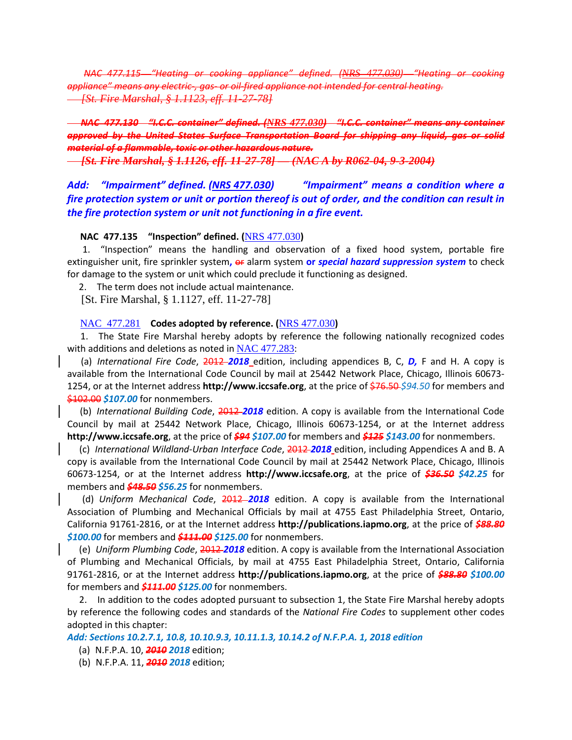*NAC 477.115 "Heating or cooking appliance" defined. ([NRS 477.030](https://www.leg.state.nv.us/NRS/NRS-477.html#NRS477Sec030)) "Heating or cooking appliance" means any electric-, gas- or oil-fired appliance not intended for central heating. [St. Fire Marshal, § 1.1123, eff. 11-27-78]*

# *NAC 477.130 "I.C.C. container" defined. ([NRS 477.030](https://www.leg.state.nv.us/NRS/NRS-477.html#NRS477Sec030)) "I.C.C. container" means any container approved by the United States Surface Transportation Board for shipping any liquid, gas or solid material of a flammable, toxic or other hazardous nature.*

 *[St. Fire Marshal, § 1.1126, eff. 11-27-78] — (NAC A by R062-04, 9-3-2004)*

*Add: "Impairment" defined. (NRS 477.030) "Impairment" means a condition where a fire protection system or unit or portion thereof is out of order, and the condition can result in the fire protection system or unit not functioning in a fire event.*

### **NAC 477.135 "Inspection" defined. (**[NRS 477.030](https://www.leg.state.nv.us/NRS/NRS-477.html#NRS477Sec030)**)**

 1. "Inspection" means the handling and observation of a fixed hood system, portable fire extinguisher unit, fire sprinkler system**,** or alarm system **or** *special hazard suppression system* to check for damage to the system or unit which could preclude it functioning as designed.

2. The term does not include actual maintenance.

[St. Fire Marshal, § 1.1127, eff. 11-27-78]

#### NAC [477.281](https://www.leg.state.nv.us/NAC/NAC-477.html#NAC477Sec281) **Codes adopted by reference. (**[NRS 477.030](https://www.leg.state.nv.us/NRS/NRS-477.html#NRS477Sec030)**)**

 1. The State Fire Marshal hereby adopts by reference the following nationally recognized codes with additions and deletions as noted in [NAC 477.283](https://www.leg.state.nv.us/NAC/NAC-477.html#NAC477Sec283):

 (a) *International Fire Code*, 2012 *2018* edition, including appendices B, C, *D,* F and H. A copy is available from the International Code Council by mail at 25442 Network Place, Chicago, Illinois 60673- 1254, or at the Internet address **http://www.iccsafe.org**, at the price of \$76.50 *\$94.50* for members and \$102.00 *\$107.00* for nonmembers.

 (b) *International Building Code*, 2012 *2018* edition. A copy is available from the International Code Council by mail at 25442 Network Place, Chicago, Illinois 60673-1254, or at the Internet address **http://www.iccsafe.org**, at the price of *\$94 \$107.00* for members and *\$125 \$143.00* for nonmembers.

 (c) *International Wildland-Urban Interface Code*, 2012 *2018* edition, including Appendices A and B. A copy is available from the International Code Council by mail at 25442 Network Place, Chicago, Illinois 60673-1254, or at the Internet address **http://www.iccsafe.org**, at the price of *\$36.50 \$42.25* for members and *\$48.50 \$56.25* for nonmembers.

 (d) *Uniform Mechanical Code*, 2012 *2018* edition. A copy is available from the International Association of Plumbing and Mechanical Officials by mail at 4755 East Philadelphia Street, Ontario, California 91761-2816, or at the Internet address **http://publications.iapmo.org**, at the price of *\$88.80 \$100.00* for members and *\$111.00 \$125.00* for nonmembers.

 (e) *Uniform Plumbing Code*, 2012 *2018* edition. A copy is available from the International Association of Plumbing and Mechanical Officials, by mail at 4755 East Philadelphia Street, Ontario, California 91761-2816, or at the Internet address **http://publications.iapmo.org**, at the price of *\$88.80 \$100.00* for members and *\$111.00 \$125.00* for nonmembers.

 2. In addition to the codes adopted pursuant to subsection 1, the State Fire Marshal hereby adopts by reference the following codes and standards of the *National Fire Codes* to supplement other codes adopted in this chapter:

*Add: Sections 10.2.7.1, 10.8, 10.10.9.3, 10.11.1.3, 10.14.2 of N.F.P.A. 1, 2018 edition*

- (a) N.F.P.A. 10, *2010 2018* edition;
- (b) N.F.P.A. 11, *2010 2018* edition;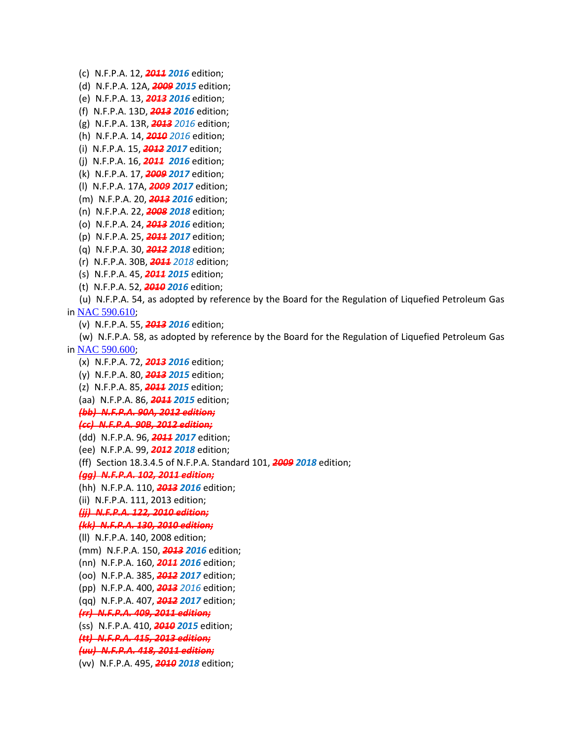(c) N.F.P.A. 12, *2011 2016* edition;

(d) N.F.P.A. 12A, *2009 2015* edition;

(e) N.F.P.A. 13, *2013 2016* edition;

(f) N.F.P.A. 13D, *2013 2016* edition;

(g) N.F.P.A. 13R, *2013 2016* edition;

(h) N.F.P.A. 14, *2010 2016* edition;

(i) N.F.P.A. 15, *2012 2017* edition;

(j) N.F.P.A. 16, *2011 2016* edition;

(k) N.F.P.A. 17, *2009 2017* edition;

(l) N.F.P.A. 17A, *2009 2017* edition;

(m) N.F.P.A. 20, *2013 2016* edition;

(n) N.F.P.A. 22, *2008 2018* edition;

(o) N.F.P.A. 24, *2013 2016* edition;

(p) N.F.P.A. 25, *2011 2017* edition;

(q) N.F.P.A. 30, *2012 2018* edition;

(r) N.F.P.A. 30B, *2011 2018* edition;

(s) N.F.P.A. 45, *2011 2015* edition;

(t) N.F.P.A. 52, *2010 2016* edition;

 (u) N.F.P.A. 54, as adopted by reference by the Board for the Regulation of Liquefied Petroleum Gas in [NAC 590.610](https://www.leg.state.nv.us/NAC/NAC-590.html#NAC590Sec610);

(v) N.F.P.A. 55, *2013 2016* edition;

 (w) N.F.P.A. 58, as adopted by reference by the Board for the Regulation of Liquefied Petroleum Gas in [NAC 590.600](https://www.leg.state.nv.us/NAC/NAC-590.html#NAC590Sec600);

- (x) N.F.P.A. 72, *2013 2016* edition;
- (y) N.F.P.A. 80, *2013 2015* edition;
- (z) N.F.P.A. 85, *2011 2015* edition;

(aa) N.F.P.A. 86, *2011 2015* edition;

*(bb) N.F.P.A. 90A, 2012 edition;*

#### *(cc) N.F.P.A. 90B, 2012 edition;*

(dd) N.F.P.A. 96, *2011 2017* edition;

(ee) N.F.P.A. 99, *2012 2018* edition;

(ff) Section 18.3.4.5 of N.F.P.A. Standard 101, *2009 2018* edition;

*(gg) N.F.P.A. 102, 2011 edition;*

(hh) N.F.P.A. 110, *2013 2016* edition;

(ii) N.F.P.A. 111, 2013 edition;

 *(jj) N.F.P.A. 122, 2010 edition;*

#### *(kk) N.F.P.A. 130, 2010 edition;*

(ll) N.F.P.A. 140, 2008 edition;

(mm) N.F.P.A. 150, *2013 2016* edition;

(nn) N.F.P.A. 160, *2011 2016* edition;

(oo) N.F.P.A. 385, *2012 2017* edition;

(pp) N.F.P.A. 400, *2013 2016* edition;

(qq) N.F.P.A. 407, *2012 2017* edition;

*(rr) N.F.P.A. 409, 2011 edition;*

(ss) N.F.P.A. 410, *2010 2015* edition;

*(tt) N.F.P.A. 415, 2013 edition;*

*(uu) N.F.P.A. 418, 2011 edition;*

(vv) N.F.P.A. 495, *2010 2018* edition;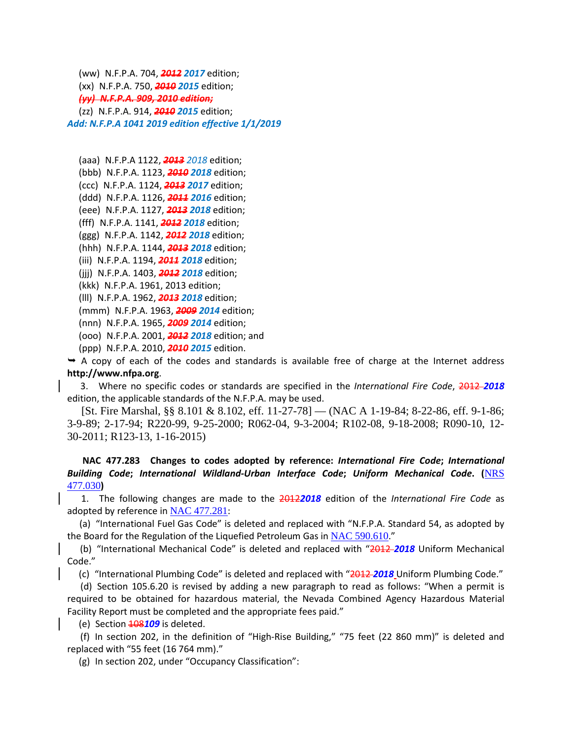(ww) N.F.P.A. 704, *2012 2017* edition; (xx) N.F.P.A. 750, *2010 2015* edition; *(yy) N.F.P.A. 909, 2010 edition;* (zz) N.F.P.A. 914, *2010 2015* edition; *Add: N.F.P.A 1041 2019 edition effective 1/1/2019*

(aaa) N.F.P.A 1122, *2013 2018* edition;

(bbb) N.F.P.A. 1123, *2010 2018* edition;

(ccc) N.F.P.A. 1124, *2013 2017* edition;

(ddd) N.F.P.A. 1126, *2011 2016* edition;

(eee) N.F.P.A. 1127, *2013 2018* edition;

(fff) N.F.P.A. 1141, *2012 2018* edition;

(ggg) N.F.P.A. 1142, *2012 2018* edition;

(hhh) N.F.P.A. 1144, *2013 2018* edition;

(iii) N.F.P.A. 1194, *2011 2018* edition;

(jjj) N.F.P.A. 1403, *2012 2018* edition;

(kkk) N.F.P.A. 1961, 2013 edition;

(lll) N.F.P.A. 1962, *2013 2018* edition;

(mmm) N.F.P.A. 1963, *2009 2014* edition;

(nnn) N.F.P.A. 1965, *2009 2014* edition;

(ooo) N.F.P.A. 2001, *2012 2018* edition; and

(ppp) N.F.P.A. 2010, *2010 2015* edition.

 $\rightarrow$  A copy of each of the codes and standards is available free of charge at the Internet address **http://www.nfpa.org**.

 3. Where no specific codes or standards are specified in the *International Fire Code*, 2012 *2018*  edition, the applicable standards of the N.F.P.A. may be used.

 [St. Fire Marshal, §§ 8.101 & 8.102, eff. 11-27-78] — (NAC A 1-19-84; 8-22-86, eff. 9-1-86; 3-9-89; 2-17-94; R220-99, 9-25-2000; R062-04, 9-3-2004; R102-08, 9-18-2008; R090-10, 12- 30-2011; R123-13, 1-16-2015)

# **NAC 477.283 Changes to codes adopted by reference:** *International Fire Code***;** *International Building Code***;** *International Wildland-Urban Interface Code***;** *Uniform Mechanical Code***. (**[NRS](https://www.leg.state.nv.us/NRS/NRS-477.html#NRS477Sec030)  [477.030](https://www.leg.state.nv.us/NRS/NRS-477.html#NRS477Sec030)**)**

 1. The following changes are made to the 2012*2018* edition of the *International Fire Code* as adopted by reference in [NAC 477.281](https://www.leg.state.nv.us/NAC/NAC-477.html#NAC477Sec281):

 (a) "International Fuel Gas Code" is deleted and replaced with "N.F.P.A. Standard 54, as adopted by the Board for the Regulation of the Liquefied Petroleum Gas in [NAC 590.610](https://www.leg.state.nv.us/NAC/NAC-590.html#NAC590Sec610)."

 (b) "International Mechanical Code" is deleted and replaced with "2012 *2018* Uniform Mechanical Code."

(c) "International Plumbing Code" is deleted and replaced with "2012 *2018* Uniform Plumbing Code."

 (d) Section 105.6.20 is revised by adding a new paragraph to read as follows: "When a permit is required to be obtained for hazardous material, the Nevada Combined Agency Hazardous Material Facility Report must be completed and the appropriate fees paid."

(e) Section 108*109* is deleted.

 (f) In section 202, in the definition of "High-Rise Building," "75 feet (22 860 mm)" is deleted and replaced with "55 feet (16 764 mm)."

(g) In section 202, under "Occupancy Classification":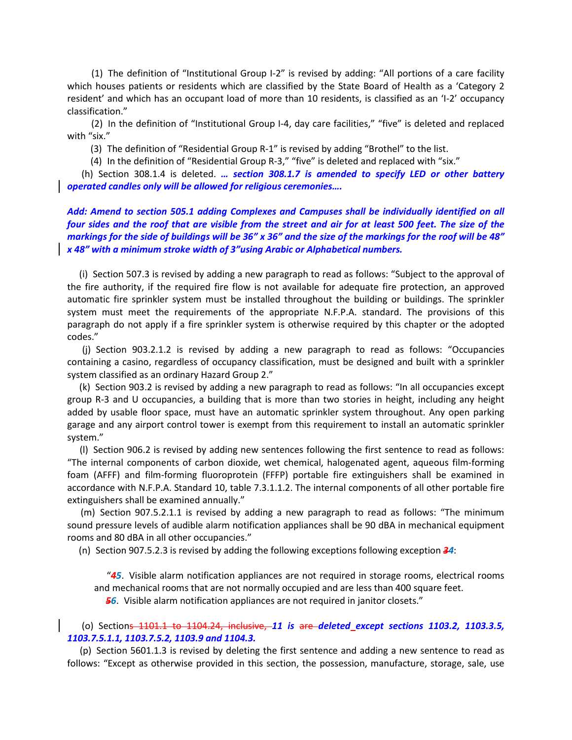(1) The definition of "Institutional Group I-2" is revised by adding: "All portions of a care facility which houses patients or residents which are classified by the State Board of Health as a 'Category 2 resident' and which has an occupant load of more than 10 residents, is classified as an 'I-2' occupancy classification."

 (2) In the definition of "Institutional Group I-4, day care facilities," "five" is deleted and replaced with "six."

(3) The definition of "Residential Group R-1" is revised by adding "Brothel" to the list.

(4) In the definition of "Residential Group R-3," "five" is deleted and replaced with "six."

 (h) Section 308.1.4 is deleted. *… section 308.1.7 is amended to specify LED or other battery operated candles only will be allowed for religious ceremonies….*

# *Add: Amend to section 505.1 adding Complexes and Campuses shall be individually identified on all four sides and the roof that are visible from the street and air for at least 500 feet. The size of the markings for the side of buildings will be 36" x 36" and the size of the markings for the roof will be 48" x 48" with a minimum stroke width of 3"using Arabic or Alphabetical numbers.*

 (i) Section 507.3 is revised by adding a new paragraph to read as follows: "Subject to the approval of the fire authority, if the required fire flow is not available for adequate fire protection, an approved automatic fire sprinkler system must be installed throughout the building or buildings. The sprinkler system must meet the requirements of the appropriate N.F.P.A. standard. The provisions of this paragraph do not apply if a fire sprinkler system is otherwise required by this chapter or the adopted codes."

 (j) Section 903.2.1.2 is revised by adding a new paragraph to read as follows: "Occupancies containing a casino, regardless of occupancy classification, must be designed and built with a sprinkler system classified as an ordinary Hazard Group 2."

 (k) Section 903.2 is revised by adding a new paragraph to read as follows: "In all occupancies except group R-3 and U occupancies, a building that is more than two stories in height, including any height added by usable floor space, must have an automatic sprinkler system throughout. Any open parking garage and any airport control tower is exempt from this requirement to install an automatic sprinkler system."

 (l) Section 906.2 is revised by adding new sentences following the first sentence to read as follows: "The internal components of carbon dioxide, wet chemical, halogenated agent, aqueous film-forming foam (AFFF) and film-forming fluoroprotein (FFFP) portable fire extinguishers shall be examined in accordance with N.F.P.A. Standard 10, table 7.3.1.1.2. The internal components of all other portable fire extinguishers shall be examined annually."

 (m) Section 907.5.2.1.1 is revised by adding a new paragraph to read as follows: "The minimum sound pressure levels of audible alarm notification appliances shall be 90 dBA in mechanical equipment rooms and 80 dBA in all other occupancies."

(n) Section 907.5.2.3 is revised by adding the following exceptions following exception *34*:

 "*45*. Visible alarm notification appliances are not required in storage rooms, electrical rooms and mechanical rooms that are not normally occupied and are less than 400 square feet.

*56*. Visible alarm notification appliances are not required in janitor closets."

# (o) Sections 1101.1 to 1104.24, inclusive, *11 is* are *deleted except sections 1103.2, 1103.3.5, 1103.7.5.1.1, 1103.7.5.2, 1103.9 and 1104.3.*

 (p) Section 5601.1.3 is revised by deleting the first sentence and adding a new sentence to read as follows: "Except as otherwise provided in this section, the possession, manufacture, storage, sale, use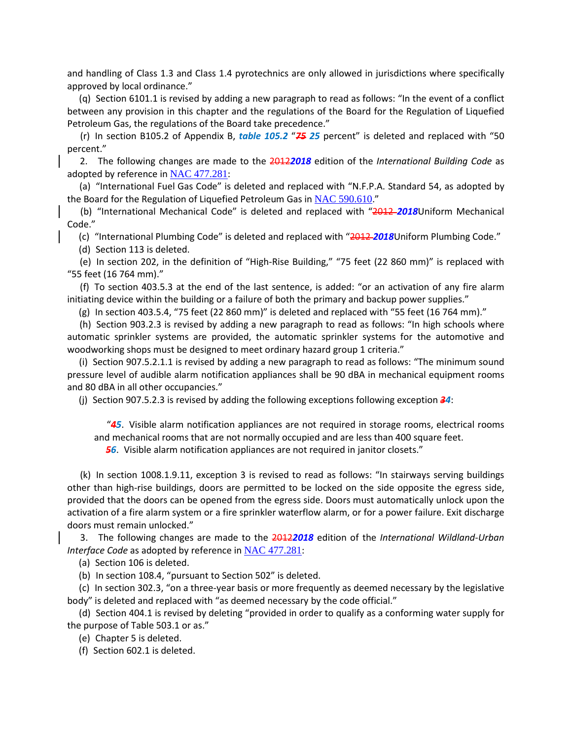and handling of Class 1.3 and Class 1.4 pyrotechnics are only allowed in jurisdictions where specifically approved by local ordinance."

 (q) Section 6101.1 is revised by adding a new paragraph to read as follows: "In the event of a conflict between any provision in this chapter and the regulations of the Board for the Regulation of Liquefied Petroleum Gas, the regulations of the Board take precedence."

 (r) In section B105.2 of Appendix B, *table 105.2* "*75 25* percent" is deleted and replaced with "50 percent."

 2. The following changes are made to the 2012*2018* edition of the *International Building Code* as adopted by reference in [NAC 477.281](https://www.leg.state.nv.us/NAC/NAC-477.html#NAC477Sec281):

 (a) "International Fuel Gas Code" is deleted and replaced with "N.F.P.A. Standard 54, as adopted by the Board for the Regulation of Liquefied Petroleum Gas in [NAC 590.610](https://www.leg.state.nv.us/NAC/NAC-590.html#NAC590Sec610)."

 (b) "International Mechanical Code" is deleted and replaced with "2012 *2018*Uniform Mechanical Code."

(c) "International Plumbing Code" is deleted and replaced with "2012 *2018*Uniform Plumbing Code."

(d) Section 113 is deleted.

 (e) In section 202, in the definition of "High-Rise Building," "75 feet (22 860 mm)" is replaced with "55 feet (16 764 mm)."

 (f) To section 403.5.3 at the end of the last sentence, is added: "or an activation of any fire alarm initiating device within the building or a failure of both the primary and backup power supplies."

(g) In section 403.5.4, "75 feet (22 860 mm)" is deleted and replaced with "55 feet (16 764 mm)."

 (h) Section 903.2.3 is revised by adding a new paragraph to read as follows: "In high schools where automatic sprinkler systems are provided, the automatic sprinkler systems for the automotive and woodworking shops must be designed to meet ordinary hazard group 1 criteria."

 (i) Section 907.5.2.1.1 is revised by adding a new paragraph to read as follows: "The minimum sound pressure level of audible alarm notification appliances shall be 90 dBA in mechanical equipment rooms and 80 dBA in all other occupancies."

(j) Section 907.5.2.3 is revised by adding the following exceptions following exception *34*:

 "*45*. Visible alarm notification appliances are not required in storage rooms, electrical rooms and mechanical rooms that are not normally occupied and are less than 400 square feet.

*56*. Visible alarm notification appliances are not required in janitor closets."

 (k) In section 1008.1.9.11, exception 3 is revised to read as follows: "In stairways serving buildings other than high-rise buildings, doors are permitted to be locked on the side opposite the egress side, provided that the doors can be opened from the egress side. Doors must automatically unlock upon the activation of a fire alarm system or a fire sprinkler waterflow alarm, or for a power failure. Exit discharge doors must remain unlocked."

 3. The following changes are made to the 2012*2018* edition of the *International Wildland-Urban Interface Code* as adopted by reference in [NAC 477.281](https://www.leg.state.nv.us/NAC/NAC-477.html#NAC477Sec281):

(a) Section 106 is deleted.

(b) In section 108.4, "pursuant to Section 502" is deleted.

 (c) In section 302.3, "on a three-year basis or more frequently as deemed necessary by the legislative body" is deleted and replaced with "as deemed necessary by the code official."

 (d) Section 404.1 is revised by deleting "provided in order to qualify as a conforming water supply for the purpose of Table 503.1 or as."

(e) Chapter 5 is deleted.

(f) Section 602.1 is deleted.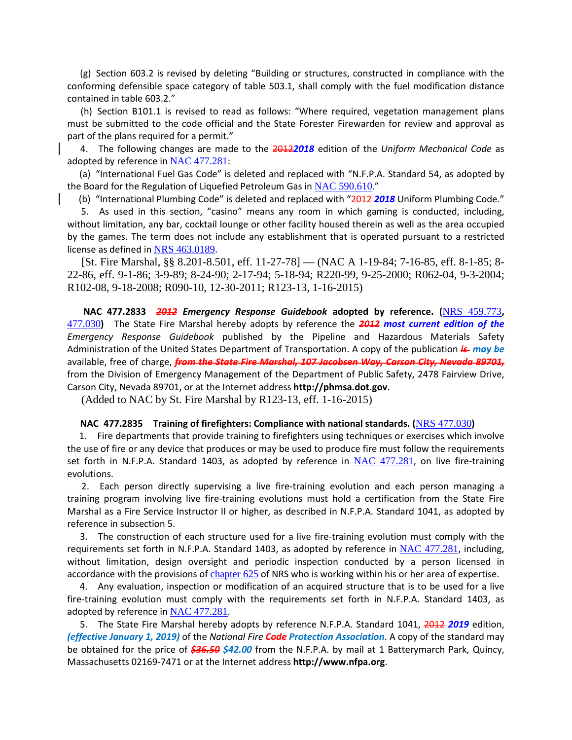(g) Section 603.2 is revised by deleting "Building or structures, constructed in compliance with the conforming defensible space category of table 503.1, shall comply with the fuel modification distance contained in table 603.2."

 (h) Section B101.1 is revised to read as follows: "Where required, vegetation management plans must be submitted to the code official and the State Forester Firewarden for review and approval as part of the plans required for a permit."

 4. The following changes are made to the 2012*2018* edition of the *Uniform Mechanical Code* as adopted by reference in [NAC 477.281](https://www.leg.state.nv.us/NAC/NAC-477.html#NAC477Sec281):

 (a) "International Fuel Gas Code" is deleted and replaced with "N.F.P.A. Standard 54, as adopted by the Board for the Regulation of Liquefied Petroleum Gas in [NAC 590.610](https://www.leg.state.nv.us/NAC/NAC-590.html#NAC590Sec610)."

(b) "International Plumbing Code" is deleted and replaced with "2012 *2018* Uniform Plumbing Code."

 5. As used in this section, "casino" means any room in which gaming is conducted, including, without limitation, any bar, cocktail lounge or other facility housed therein as well as the area occupied by the games. The term does not include any establishment that is operated pursuant to a restricted license as defined in [NRS 463.0189](https://www.leg.state.nv.us/NRS/NRS-463.html#NRS463Sec0189).

 [St. Fire Marshal, §§ 8.201-8.501, eff. 11-27-78] — (NAC A 1-19-84; 7-16-85, eff. 8-1-85; 8- 22-86, eff. 9-1-86; 3-9-89; 8-24-90; 2-17-94; 5-18-94; R220-99, 9-25-2000; R062-04, 9-3-2004; R102-08, 9-18-2008; R090-10, 12-30-2011; R123-13, 1-16-2015)

 **NAC 477.2833** *2012 Emergency Response Guidebook* **adopted by reference. (**[NRS 459.773](https://www.leg.state.nv.us/NRS/NRS-459.html#NRS459Sec773)**,**  [477.030](https://www.leg.state.nv.us/NRS/NRS-477.html#NRS477Sec030)**)** The State Fire Marshal hereby adopts by reference the *2012 most current edition of the Emergency Response Guidebook* published by the Pipeline and Hazardous Materials Safety Administration of the United States Department of Transportation. A copy of the publication *is may be*  available, free of charge, *from the State Fire Marshal, 107 Jacobsen Way, Carson City, Nevada 89701,* from the Division of Emergency Management of the Department of Public Safety, 2478 Fairview Drive, Carson City, Nevada 89701, or at the Internet address **http://phmsa.dot.gov**.

(Added to NAC by St. Fire Marshal by R123-13, eff. 1-16-2015)

#### **NAC 477.2835 Training of firefighters: Compliance with national standards. (**[NRS 477.030](https://www.leg.state.nv.us/NRS/NRS-477.html#NRS477Sec030)**)**

 1. Fire departments that provide training to firefighters using techniques or exercises which involve the use of fire or any device that produces or may be used to produce fire must follow the requirements set forth in N.F.P.A. Standard 1403, as adopted by reference in [NAC 477.281](https://www.leg.state.nv.us/NAC/NAC-477.html#NAC477Sec281), on live fire-training evolutions.

 2. Each person directly supervising a live fire-training evolution and each person managing a training program involving live fire-training evolutions must hold a certification from the State Fire Marshal as a Fire Service Instructor II or higher, as described in N.F.P.A. Standard 1041, as adopted by reference in subsection 5.

 3. The construction of each structure used for a live fire-training evolution must comply with the requirements set forth in N.F.P.A. Standard 1403, as adopted by reference in [NAC 477.281](https://www.leg.state.nv.us/NAC/NAC-477.html#NAC477Sec281), including, without limitation, design oversight and periodic inspection conducted by a person licensed in accordance with the provisions of [chapter 625](https://www.leg.state.nv.us/NRS/NRS-625.html#NRS625) of NRS who is working within his or her area of expertise.

 4. Any evaluation, inspection or modification of an acquired structure that is to be used for a live fire-training evolution must comply with the requirements set forth in N.F.P.A. Standard 1403, as adopted by reference in [NAC 477.281](https://www.leg.state.nv.us/NAC/NAC-477.html#NAC477Sec281).

5. The State Fire Marshal hereby adopts by reference N.F.P.A. Standard 1041, 2012 2019 edition, *(effective January 1, 2019)* of the *National Fire Code Protection Association*. A copy of the standard may be obtained for the price of *\$36.50 \$42.00* from the N.F.P.A. by mail at 1 Batterymarch Park, Quincy, Massachusetts 02169-7471 or at the Internet address **http://www.nfpa.org**.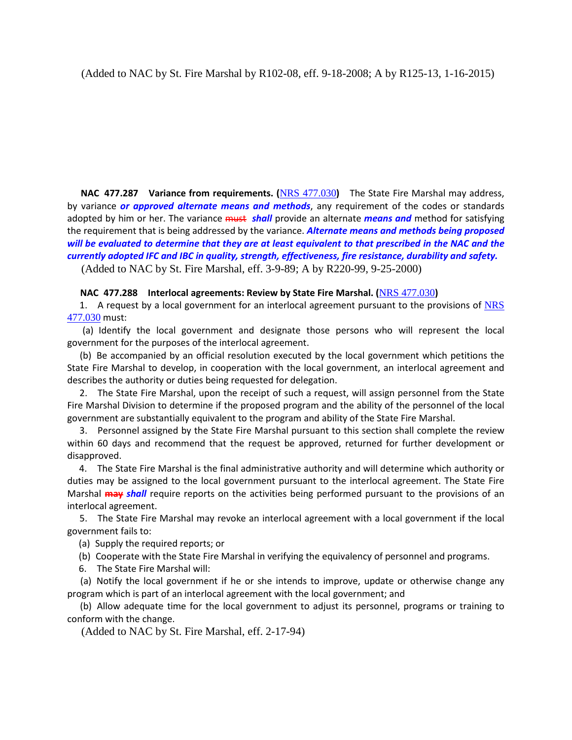**NAC 477.287 Variance from requirements. (**[NRS 477.030](https://www.leg.state.nv.us/NRS/NRS-477.html#NRS477Sec030)**)** The State Fire Marshal may address, by variance *or approved alternate means and methods*, any requirement of the codes or standards adopted by him or her. The variance must *shall* provide an alternate *means and* method for satisfying the requirement that is being addressed by the variance. *Alternate means and methods being proposed will be evaluated to determine that they are at least equivalent to that prescribed in the NAC and the currently adopted IFC and IBC in quality, strength, effectiveness, fire resistance, durability and safety.*

(Added to NAC by St. Fire Marshal, eff. 3-9-89; A by R220-99, 9-25-2000)

# **NAC 477.288 Interlocal agreements: Review by State Fire Marshal. (**[NRS 477.030](https://www.leg.state.nv.us/NRS/NRS-477.html#NRS477Sec030)**)**

1. A request by a local government for an interlocal agreement pursuant to the provisions of NRS [477.030](https://www.leg.state.nv.us/NRS/NRS-477.html#NRS477Sec030) must:

 (a) Identify the local government and designate those persons who will represent the local government for the purposes of the interlocal agreement.

 (b) Be accompanied by an official resolution executed by the local government which petitions the State Fire Marshal to develop, in cooperation with the local government, an interlocal agreement and describes the authority or duties being requested for delegation.

 2. The State Fire Marshal, upon the receipt of such a request, will assign personnel from the State Fire Marshal Division to determine if the proposed program and the ability of the personnel of the local government are substantially equivalent to the program and ability of the State Fire Marshal.

 3. Personnel assigned by the State Fire Marshal pursuant to this section shall complete the review within 60 days and recommend that the request be approved, returned for further development or disapproved.

 4. The State Fire Marshal is the final administrative authority and will determine which authority or duties may be assigned to the local government pursuant to the interlocal agreement. The State Fire Marshal **may** *shall* require reports on the activities being performed pursuant to the provisions of an interlocal agreement.

 5. The State Fire Marshal may revoke an interlocal agreement with a local government if the local government fails to:

(a) Supply the required reports; or

(b) Cooperate with the State Fire Marshal in verifying the equivalency of personnel and programs.

6. The State Fire Marshal will:

 (a) Notify the local government if he or she intends to improve, update or otherwise change any program which is part of an interlocal agreement with the local government; and

 (b) Allow adequate time for the local government to adjust its personnel, programs or training to conform with the change.

(Added to NAC by St. Fire Marshal, eff. 2-17-94)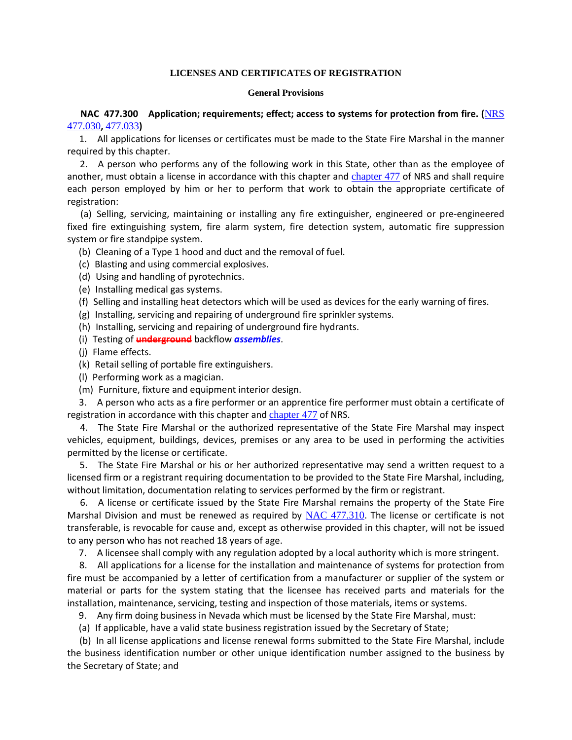## **LICENSES AND CERTIFICATES OF REGISTRATION**

#### **General Provisions**

 **NAC 477.300 Application; requirements; effect; access to systems for protection from fire. (**[NRS](https://www.leg.state.nv.us/NRS/NRS-477.html#NRS477Sec030)  [477.030](https://www.leg.state.nv.us/NRS/NRS-477.html#NRS477Sec030)**,** [477.033](https://www.leg.state.nv.us/NRS/NRS-477.html#NRS477Sec033)**)**

 1. All applications for licenses or certificates must be made to the State Fire Marshal in the manner required by this chapter.

 2. A person who performs any of the following work in this State, other than as the employee of another, must obtain a license in accordance with this chapter and [chapter 477](https://www.leg.state.nv.us/NRS/NRS-477.html#NRS477) of NRS and shall require each person employed by him or her to perform that work to obtain the appropriate certificate of registration:

 (a) Selling, servicing, maintaining or installing any fire extinguisher, engineered or pre-engineered fixed fire extinguishing system, fire alarm system, fire detection system, automatic fire suppression system or fire standpipe system.

(b) Cleaning of a Type 1 hood and duct and the removal of fuel.

- (c) Blasting and using commercial explosives.
- (d) Using and handling of pyrotechnics.
- (e) Installing medical gas systems.
- (f) Selling and installing heat detectors which will be used as devices for the early warning of fires.
- (g) Installing, servicing and repairing of underground fire sprinkler systems.
- (h) Installing, servicing and repairing of underground fire hydrants.
- (i) Testing of **underground** backflow *assemblies*.
- (j) Flame effects.
- (k) Retail selling of portable fire extinguishers.
- (l) Performing work as a magician.
- (m) Furniture, fixture and equipment interior design.

 3. A person who acts as a fire performer or an apprentice fire performer must obtain a certificate of registration in accordance with this chapter and *[chapter 477](https://www.leg.state.nv.us/NRS/NRS-477.html#NRS477)* of NRS.

 4. The State Fire Marshal or the authorized representative of the State Fire Marshal may inspect vehicles, equipment, buildings, devices, premises or any area to be used in performing the activities permitted by the license or certificate.

 5. The State Fire Marshal or his or her authorized representative may send a written request to a licensed firm or a registrant requiring documentation to be provided to the State Fire Marshal, including, without limitation, documentation relating to services performed by the firm or registrant.

 6. A license or certificate issued by the State Fire Marshal remains the property of the State Fire Marshal Division and must be renewed as required by [NAC 477.310](https://www.leg.state.nv.us/NAC/NAC-477.html#NAC477Sec310). The license or certificate is not transferable, is revocable for cause and, except as otherwise provided in this chapter, will not be issued to any person who has not reached 18 years of age.

7. A licensee shall comply with any regulation adopted by a local authority which is more stringent.

 8. All applications for a license for the installation and maintenance of systems for protection from fire must be accompanied by a letter of certification from a manufacturer or supplier of the system or material or parts for the system stating that the licensee has received parts and materials for the installation, maintenance, servicing, testing and inspection of those materials, items or systems.

- 9. Any firm doing business in Nevada which must be licensed by the State Fire Marshal, must:
- (a) If applicable, have a valid state business registration issued by the Secretary of State;

 (b) In all license applications and license renewal forms submitted to the State Fire Marshal, include the business identification number or other unique identification number assigned to the business by the Secretary of State; and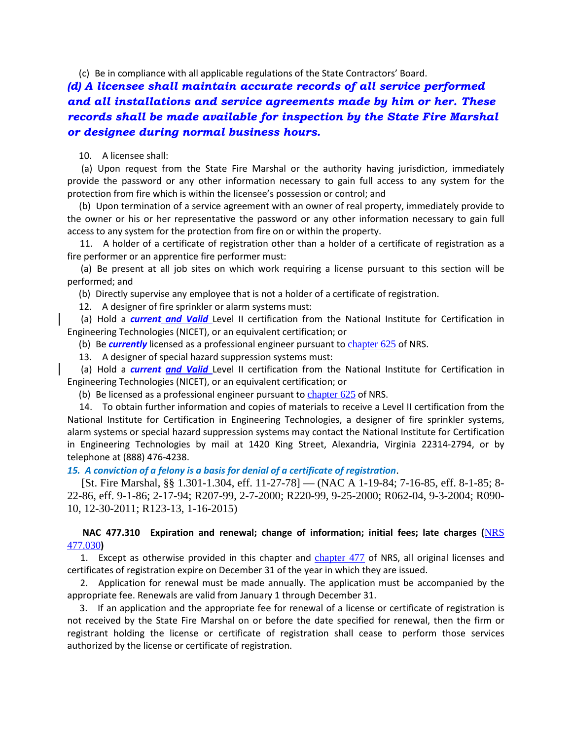(c) Be in compliance with all applicable regulations of the State Contractors' Board.

*(d) A licensee shall maintain accurate records of all service performed and all installations and service agreements made by him or her. These records shall be made available for inspection by the State Fire Marshal or designee during normal business hours.*

10. A licensee shall:

 (a) Upon request from the State Fire Marshal or the authority having jurisdiction, immediately provide the password or any other information necessary to gain full access to any system for the protection from fire which is within the licensee's possession or control; and

 (b) Upon termination of a service agreement with an owner of real property, immediately provide to the owner or his or her representative the password or any other information necessary to gain full access to any system for the protection from fire on or within the property.

 11. A holder of a certificate of registration other than a holder of a certificate of registration as a fire performer or an apprentice fire performer must:

 (a) Be present at all job sites on which work requiring a license pursuant to this section will be performed; and

(b) Directly supervise any employee that is not a holder of a certificate of registration.

12. A designer of fire sprinkler or alarm systems must:

 (a) Hold a *current and Valid* Level II certification from the National Institute for Certification in Engineering Technologies (NICET), or an equivalent certification; or

(b) Be *currently* licensed as a professional engineer pursuant to [chapter 625](https://www.leg.state.nv.us/NRS/NRS-625.html#NRS625) of NRS.

13. A designer of special hazard suppression systems must:

 (a) Hold a *current and Valid* Level II certification from the National Institute for Certification in Engineering Technologies (NICET), or an equivalent certification; or

(b) Be licensed as a professional engineer pursuant to chapter  $625$  of NRS.

 14. To obtain further information and copies of materials to receive a Level II certification from the National Institute for Certification in Engineering Technologies, a designer of fire sprinkler systems, alarm systems or special hazard suppression systems may contact the National Institute for Certification in Engineering Technologies by mail at 1420 King Street, Alexandria, Virginia 22314-2794, or by telephone at (888) 476-4238.

#### *15. A conviction of a felony is a basis for denial of a certificate of registration*.

 [St. Fire Marshal, §§ 1.301-1.304, eff. 11-27-78] — (NAC A 1-19-84; 7-16-85, eff. 8-1-85; 8- 22-86, eff. 9-1-86; 2-17-94; R207-99, 2-7-2000; R220-99, 9-25-2000; R062-04, 9-3-2004; R090- 10, 12-30-2011; R123-13, 1-16-2015)

# **NAC 477.310 Expiration and renewal; change of information; initial fees; late charges (**[NRS](https://www.leg.state.nv.us/NRS/NRS-477.html#NRS477Sec030)  [477.030](https://www.leg.state.nv.us/NRS/NRS-477.html#NRS477Sec030)**)**

1. Except as otherwise provided in this chapter and [chapter 477](https://www.leg.state.nv.us/NRS/NRS-477.html#NRS477) of NRS, all original licenses and certificates of registration expire on December 31 of the year in which they are issued.

 2. Application for renewal must be made annually. The application must be accompanied by the appropriate fee. Renewals are valid from January 1 through December 31.

 3. If an application and the appropriate fee for renewal of a license or certificate of registration is not received by the State Fire Marshal on or before the date specified for renewal, then the firm or registrant holding the license or certificate of registration shall cease to perform those services authorized by the license or certificate of registration.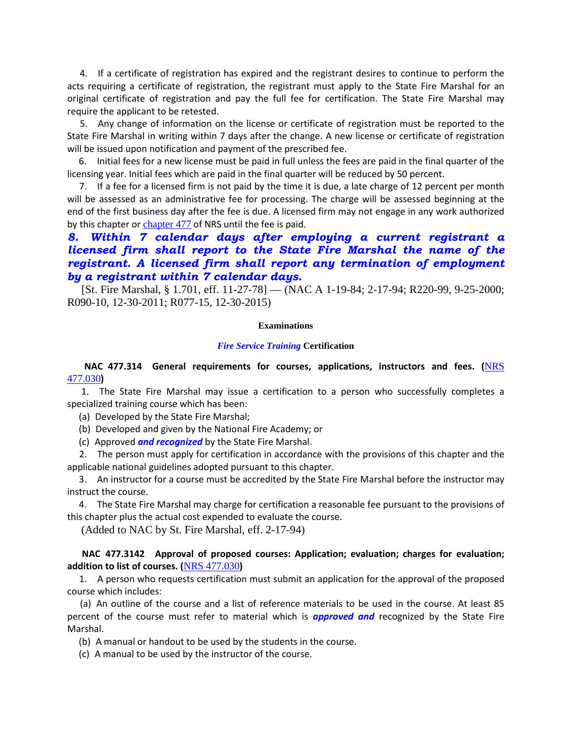4. If a certificate of registration has expired and the registrant desires to continue to perform the acts requiring a certificate of registration, the registrant must apply to the State Fire Marshal for an original certificate of registration and pay the full fee for certification. The State Fire Marshal may require the applicant to be retested.

 5. Any change of information on the license or certificate of registration must be reported to the State Fire Marshal in writing within 7 days after the change. A new license or certificate of registration will be issued upon notification and payment of the prescribed fee.

 6. Initial fees for a new license must be paid in full unless the fees are paid in the final quarter of the licensing year. Initial fees which are paid in the final quarter will be reduced by 50 percent.

 7. If a fee for a licensed firm is not paid by the time it is due, a late charge of 12 percent per month will be assessed as an administrative fee for processing. The charge will be assessed beginning at the end of the first business day after the fee is due. A licensed firm may not engage in any work authorized by this chapter or [chapter 477](https://www.leg.state.nv.us/NRS/NRS-477.html#NRS477) of NRS until the fee is paid.

# *8. Within 7 calendar days after employing a current registrant a licensed firm shall report to the State Fire Marshal the name of the registrant. A licensed firm shall report any termination of employment by a registrant within 7 calendar days.*

 [St. Fire Marshal, § 1.701, eff. 11-27-78] — (NAC A 1-19-84; 2-17-94; R220-99, 9-25-2000; R090-10, 12-30-2011; R077-15, 12-30-2015)

#### **Examinations**

#### *Fire Service Training* **Certification**

# **NAC 477.314 General requirements for courses, applications, instructors and fees. (**[NRS](https://www.leg.state.nv.us/NRS/NRS-477.html#NRS477Sec030)  [477.030](https://www.leg.state.nv.us/NRS/NRS-477.html#NRS477Sec030)**)**

 1. The State Fire Marshal may issue a certification to a person who successfully completes a specialized training course which has been:

(a) Developed by the State Fire Marshal;

(b) Developed and given by the National Fire Academy; or

(c) Approved *and recognized* by the State Fire Marshal.

 2. The person must apply for certification in accordance with the provisions of this chapter and the applicable national guidelines adopted pursuant to this chapter.

 3. An instructor for a course must be accredited by the State Fire Marshal before the instructor may instruct the course.

 4. The State Fire Marshal may charge for certification a reasonable fee pursuant to the provisions of this chapter plus the actual cost expended to evaluate the course.

(Added to NAC by St. Fire Marshal, eff. 2-17-94)

# **NAC 477.3142 Approval of proposed courses: Application; evaluation; charges for evaluation; addition to list of courses. (**[NRS 477.030](https://www.leg.state.nv.us/NRS/NRS-477.html#NRS477Sec030)**)**

 1. A person who requests certification must submit an application for the approval of the proposed course which includes:

 (a) An outline of the course and a list of reference materials to be used in the course. At least 85 percent of the course must refer to material which is *approved and* recognized by the State Fire Marshal.

(b) A manual or handout to be used by the students in the course.

(c) A manual to be used by the instructor of the course.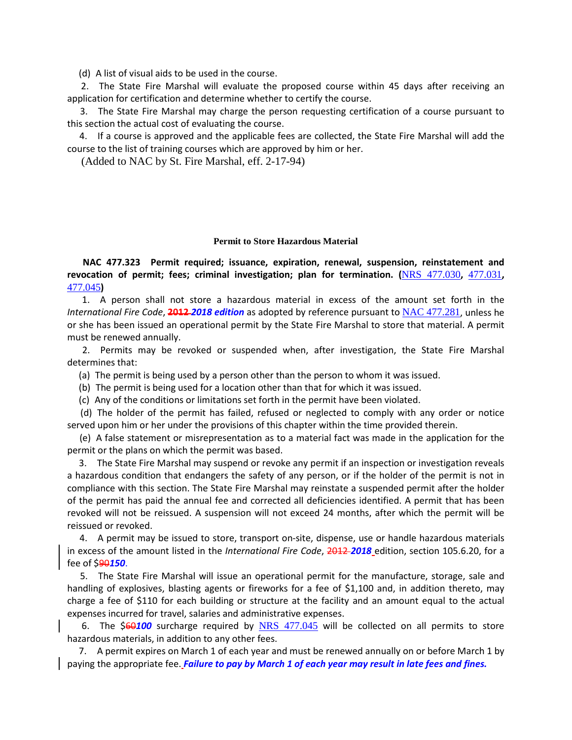(d) A list of visual aids to be used in the course.

 2. The State Fire Marshal will evaluate the proposed course within 45 days after receiving an application for certification and determine whether to certify the course.

 3. The State Fire Marshal may charge the person requesting certification of a course pursuant to this section the actual cost of evaluating the course.

 4. If a course is approved and the applicable fees are collected, the State Fire Marshal will add the course to the list of training courses which are approved by him or her.

(Added to NAC by St. Fire Marshal, eff. 2-17-94)

#### **Permit to Store Hazardous Material**

 **NAC 477.323 Permit required; issuance, expiration, renewal, suspension, reinstatement and revocation of permit; fees; criminal investigation; plan for termination. (**[NRS 477.030](https://www.leg.state.nv.us/NRS/NRS-477.html#NRS477Sec030)**,** [477.031](https://www.leg.state.nv.us/NRS/NRS-477.html#NRS477Sec031)**,**  [477.045](https://www.leg.state.nv.us/NRS/NRS-477.html#NRS477Sec045)**)**

 1. A person shall not store a hazardous material in excess of the amount set forth in the *International Fire Code*, **2012** *2018 edition* as adopted by reference pursuant to [NAC 477.281](https://www.leg.state.nv.us/NAC/NAC-477.html#NAC477Sec281), unless he or she has been issued an operational permit by the State Fire Marshal to store that material. A permit must be renewed annually.

 2. Permits may be revoked or suspended when, after investigation, the State Fire Marshal determines that:

(a) The permit is being used by a person other than the person to whom it was issued.

(b) The permit is being used for a location other than that for which it was issued.

(c) Any of the conditions or limitations set forth in the permit have been violated.

 (d) The holder of the permit has failed, refused or neglected to comply with any order or notice served upon him or her under the provisions of this chapter within the time provided therein.

 (e) A false statement or misrepresentation as to a material fact was made in the application for the permit or the plans on which the permit was based.

 3. The State Fire Marshal may suspend or revoke any permit if an inspection or investigation reveals a hazardous condition that endangers the safety of any person, or if the holder of the permit is not in compliance with this section. The State Fire Marshal may reinstate a suspended permit after the holder of the permit has paid the annual fee and corrected all deficiencies identified. A permit that has been revoked will not be reissued. A suspension will not exceed 24 months, after which the permit will be reissued or revoked.

 4. A permit may be issued to store, transport on-site, dispense, use or handle hazardous materials in excess of the amount listed in the *International Fire Code*, 2012 *2018* edition, section 105.6.20, for a fee of \$90*150*.

 5. The State Fire Marshal will issue an operational permit for the manufacture, storage, sale and handling of explosives, blasting agents or fireworks for a fee of \$1,100 and, in addition thereto, may charge a fee of \$110 for each building or structure at the facility and an amount equal to the actual expenses incurred for travel, salaries and administrative expenses.

6. The \$60100 surcharge required by [NRS 477.045](https://www.leg.state.nv.us/NRS/NRS-477.html#NRS477Sec045) will be collected on all permits to store hazardous materials, in addition to any other fees.

 7. A permit expires on March 1 of each year and must be renewed annually on or before March 1 by paying the appropriate fee. *Failure to pay by March 1 of each year may result in late fees and fines.*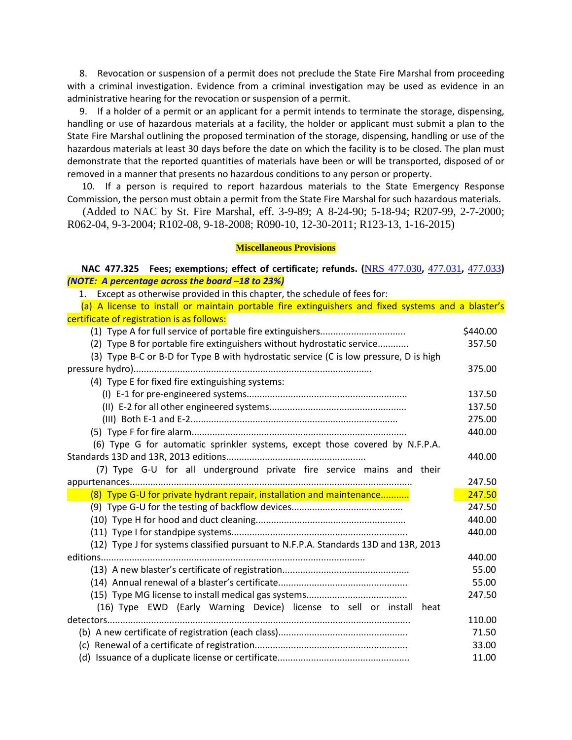8. Revocation or suspension of a permit does not preclude the State Fire Marshal from proceeding with a criminal investigation. Evidence from a criminal investigation may be used as evidence in an administrative hearing for the revocation or suspension of a permit.

 9. If a holder of a permit or an applicant for a permit intends to terminate the storage, dispensing, handling or use of hazardous materials at a facility, the holder or applicant must submit a plan to the State Fire Marshal outlining the proposed termination of the storage, dispensing, handling or use of the hazardous materials at least 30 days before the date on which the facility is to be closed. The plan must demonstrate that the reported quantities of materials have been or will be transported, disposed of or removed in a manner that presents no hazardous conditions to any person or property.

 10. If a person is required to report hazardous materials to the State Emergency Response Commission, the person must obtain a permit from the State Fire Marshal for such hazardous materials.

 (Added to NAC by St. Fire Marshal, eff. 3-9-89; A 8-24-90; 5-18-94; R207-99, 2-7-2000; R062-04, 9-3-2004; R102-08, 9-18-2008; R090-10, 12-30-2011; R123-13, 1-16-2015)

#### **Miscellaneous Provisions**

 **NAC 477.325 Fees; exemptions; effect of certificate; refunds. (**[NRS 477.030](https://www.leg.state.nv.us/NRS/NRS-477.html#NRS477Sec030)**,** [477.031](https://www.leg.state.nv.us/NRS/NRS-477.html#NRS477Sec031)**,** [477.033](https://www.leg.state.nv.us/NRS/NRS-477.html#NRS477Sec033)**)** *(NOTE: A percentage across the board –18 to 23%)*

| 1. Except as otherwise provided in this chapter, the schedule of fees for:                         |          |
|----------------------------------------------------------------------------------------------------|----------|
| (a) A license to install or maintain portable fire extinguishers and fixed systems and a blaster's |          |
| certificate of registration is as follows:                                                         |          |
|                                                                                                    | \$440.00 |
| (2) Type B for portable fire extinguishers without hydrostatic service                             | 357.50   |
| (3) Type B-C or B-D for Type B with hydrostatic service (C is low pressure, D is high              |          |
|                                                                                                    | 375.00   |
| (4) Type E for fixed fire extinguishing systems:                                                   |          |
|                                                                                                    | 137.50   |
|                                                                                                    | 137.50   |
|                                                                                                    | 275.00   |
|                                                                                                    | 440.00   |
| (6) Type G for automatic sprinkler systems, except those covered by N.F.P.A.                       |          |
|                                                                                                    | 440.00   |
| (7) Type G-U for all underground private fire service mains and their                              |          |
|                                                                                                    | 247.50   |
| (8) Type G-U for private hydrant repair, installation and maintenance                              | 247.50   |
|                                                                                                    | 247.50   |
|                                                                                                    | 440.00   |
|                                                                                                    | 440.00   |
| (12) Type J for systems classified pursuant to N.F.P.A. Standards 13D and 13R, 2013                |          |
|                                                                                                    | 440.00   |
|                                                                                                    | 55.00    |
|                                                                                                    | 55.00    |
|                                                                                                    | 247.50   |
| (16) Type EWD (Early Warning Device) license to sell or install heat                               |          |
|                                                                                                    | 110.00   |
|                                                                                                    | 71.50    |
|                                                                                                    | 33.00    |
|                                                                                                    | 11.00    |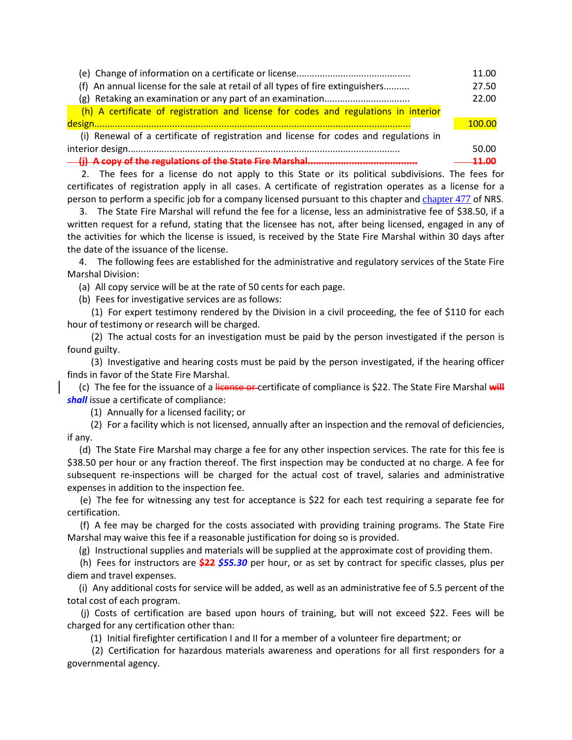|                                                                                       | 11.00  |
|---------------------------------------------------------------------------------------|--------|
| (f) An annual license for the sale at retail of all types of fire extinguishers       | 27.50  |
|                                                                                       | 22.00  |
| (h) A certificate of registration and license for codes and regulations in interior   |        |
|                                                                                       | 100.00 |
| (i) Renewal of a certificate of registration and license for codes and regulations in |        |
|                                                                                       | 50.00  |
| - (j) A copy of the regulations of the State Fire Marshal                             |        |

 2. The fees for a license do not apply to this State or its political subdivisions. The fees for certificates of registration apply in all cases. A certificate of registration operates as a license for a person to perform a specific job for a company licensed pursuant to this chapter and [chapter 477](https://www.leg.state.nv.us/NRS/NRS-477.html#NRS477) of NRS.

 3. The State Fire Marshal will refund the fee for a license, less an administrative fee of \$38.50, if a written request for a refund, stating that the licensee has not, after being licensed, engaged in any of the activities for which the license is issued, is received by the State Fire Marshal within 30 days after the date of the issuance of the license.

 4. The following fees are established for the administrative and regulatory services of the State Fire Marshal Division:

(a) All copy service will be at the rate of 50 cents for each page.

(b) Fees for investigative services are as follows:

 (1) For expert testimony rendered by the Division in a civil proceeding, the fee of \$110 for each hour of testimony or research will be charged.

 (2) The actual costs for an investigation must be paid by the person investigated if the person is found guilty.

 (3) Investigative and hearing costs must be paid by the person investigated, if the hearing officer finds in favor of the State Fire Marshal.

 (c) The fee for the issuance of a license or certificate of compliance is \$22. The State Fire Marshal **will** *shall* issue a certificate of compliance:

(1) Annually for a licensed facility; or

 (2) For a facility which is not licensed, annually after an inspection and the removal of deficiencies, if any.

 (d) The State Fire Marshal may charge a fee for any other inspection services. The rate for this fee is \$38.50 per hour or any fraction thereof. The first inspection may be conducted at no charge. A fee for subsequent re-inspections will be charged for the actual cost of travel, salaries and administrative expenses in addition to the inspection fee.

 (e) The fee for witnessing any test for acceptance is \$22 for each test requiring a separate fee for certification.

 (f) A fee may be charged for the costs associated with providing training programs. The State Fire Marshal may waive this fee if a reasonable justification for doing so is provided.

(g) Instructional supplies and materials will be supplied at the approximate cost of providing them.

 (h) Fees for instructors are **\$22** *\$55.30* per hour, or as set by contract for specific classes, plus per diem and travel expenses.

 (i) Any additional costs for service will be added, as well as an administrative fee of 5.5 percent of the total cost of each program.

 (j) Costs of certification are based upon hours of training, but will not exceed \$22. Fees will be charged for any certification other than:

(1) Initial firefighter certification I and II for a member of a volunteer fire department; or

 (2) Certification for hazardous materials awareness and operations for all first responders for a governmental agency.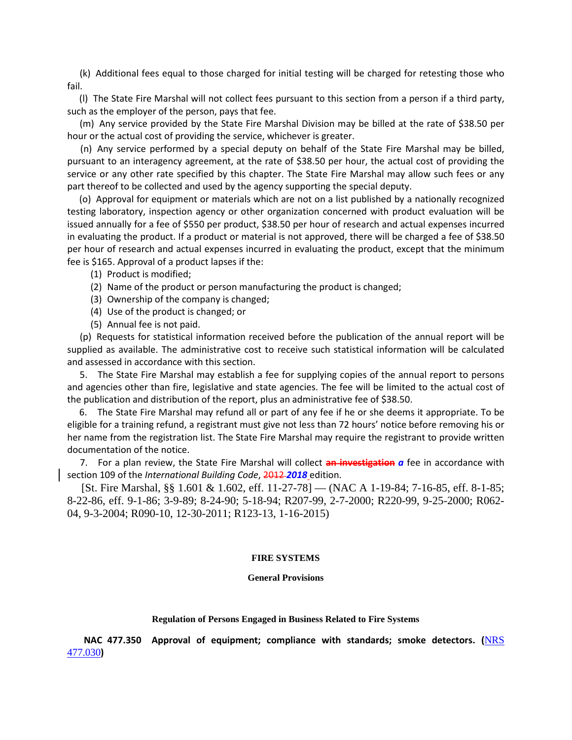(k) Additional fees equal to those charged for initial testing will be charged for retesting those who fail.

 (l) The State Fire Marshal will not collect fees pursuant to this section from a person if a third party, such as the employer of the person, pays that fee.

 (m) Any service provided by the State Fire Marshal Division may be billed at the rate of \$38.50 per hour or the actual cost of providing the service, whichever is greater.

 (n) Any service performed by a special deputy on behalf of the State Fire Marshal may be billed, pursuant to an interagency agreement, at the rate of \$38.50 per hour, the actual cost of providing the service or any other rate specified by this chapter. The State Fire Marshal may allow such fees or any part thereof to be collected and used by the agency supporting the special deputy.

 (o) Approval for equipment or materials which are not on a list published by a nationally recognized testing laboratory, inspection agency or other organization concerned with product evaluation will be issued annually for a fee of \$550 per product, \$38.50 per hour of research and actual expenses incurred in evaluating the product. If a product or material is not approved, there will be charged a fee of \$38.50 per hour of research and actual expenses incurred in evaluating the product, except that the minimum fee is \$165. Approval of a product lapses if the:

- (1) Product is modified;
- (2) Name of the product or person manufacturing the product is changed;
- (3) Ownership of the company is changed;
- (4) Use of the product is changed; or
- (5) Annual fee is not paid.

 (p) Requests for statistical information received before the publication of the annual report will be supplied as available. The administrative cost to receive such statistical information will be calculated and assessed in accordance with this section.

 5. The State Fire Marshal may establish a fee for supplying copies of the annual report to persons and agencies other than fire, legislative and state agencies. The fee will be limited to the actual cost of the publication and distribution of the report, plus an administrative fee of \$38.50.

 6. The State Fire Marshal may refund all or part of any fee if he or she deems it appropriate. To be eligible for a training refund, a registrant must give not less than 72 hours' notice before removing his or her name from the registration list. The State Fire Marshal may require the registrant to provide written documentation of the notice.

 7. For a plan review, the State Fire Marshal will collect **an investigation** *a* fee in accordance with section 109 of the *International Building Code*, 2012 *2018* edition.

 [St. Fire Marshal, §§ 1.601 & 1.602, eff. 11-27-78] — (NAC A 1-19-84; 7-16-85, eff. 8-1-85; 8-22-86, eff. 9-1-86; 3-9-89; 8-24-90; 5-18-94; R207-99, 2-7-2000; R220-99, 9-25-2000; R062- 04, 9-3-2004; R090-10, 12-30-2011; R123-13, 1-16-2015)

#### **FIRE SYSTEMS**

#### **General Provisions**

#### **Regulation of Persons Engaged in Business Related to Fire Systems**

 **NAC 477.350 Approval of equipment; compliance with standards; smoke detectors. (**[NRS](https://www.leg.state.nv.us/NRS/NRS-477.html#NRS477Sec030)  [477.030](https://www.leg.state.nv.us/NRS/NRS-477.html#NRS477Sec030)**)**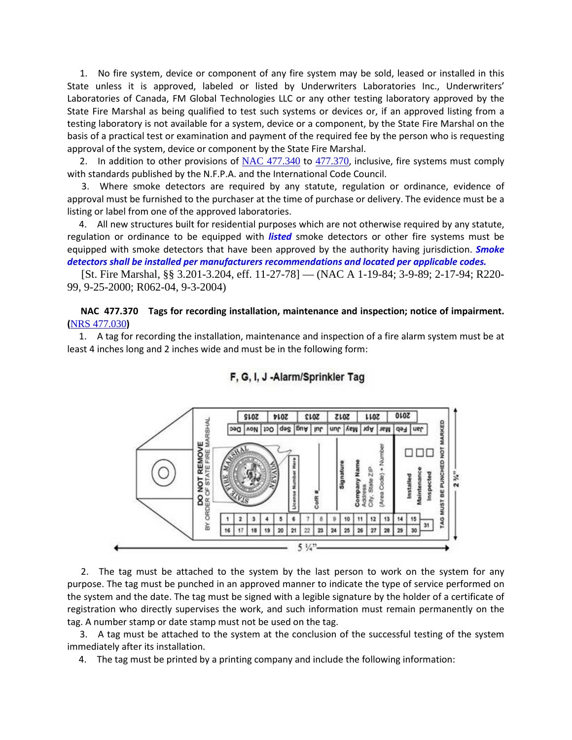1. No fire system, device or component of any fire system may be sold, leased or installed in this State unless it is approved, labeled or listed by Underwriters Laboratories Inc., Underwriters' Laboratories of Canada, FM Global Technologies LLC or any other testing laboratory approved by the State Fire Marshal as being qualified to test such systems or devices or, if an approved listing from a testing laboratory is not available for a system, device or a component, by the State Fire Marshal on the basis of a practical test or examination and payment of the required fee by the person who is requesting approval of the system, device or component by the State Fire Marshal.

2. In addition to other provisions of [NAC 477.340](https://www.leg.state.nv.us/NAC/NAC-477.html#NAC477Sec340) to [477.370](https://www.leg.state.nv.us/NAC/NAC-477.html#NAC477Sec370), inclusive, fire systems must comply with standards published by the N.F.P.A. and the International Code Council.

 3. Where smoke detectors are required by any statute, regulation or ordinance, evidence of approval must be furnished to the purchaser at the time of purchase or delivery. The evidence must be a listing or label from one of the approved laboratories.

 4. All new structures built for residential purposes which are not otherwise required by any statute, regulation or ordinance to be equipped with *listed* smoke detectors or other fire systems must be equipped with smoke detectors that have been approved by the authority having jurisdiction. *Smoke detectors shall be installed per manufacturers recommendations and located per applicable codes.*

 [St. Fire Marshal, §§ 3.201-3.204, eff. 11-27-78] — (NAC A 1-19-84; 3-9-89; 2-17-94; R220- 99, 9-25-2000; R062-04, 9-3-2004)

# **NAC 477.370 Tags for recording installation, maintenance and inspection; notice of impairment. (**[NRS 477.030](https://www.leg.state.nv.us/NRS/NRS-477.html#NRS477Sec030)**)**

 1. A tag for recording the installation, maintenance and inspection of a fire alarm system must be at least 4 inches long and 2 inches wide and must be in the following form:



# F, G, I, J -Alarm/Sprinkler Tag

 2. The tag must be attached to the system by the last person to work on the system for any purpose. The tag must be punched in an approved manner to indicate the type of service performed on the system and the date. The tag must be signed with a legible signature by the holder of a certificate of registration who directly supervises the work, and such information must remain permanently on the tag. A number stamp or date stamp must not be used on the tag.

 3. A tag must be attached to the system at the conclusion of the successful testing of the system immediately after its installation.

4. The tag must be printed by a printing company and include the following information: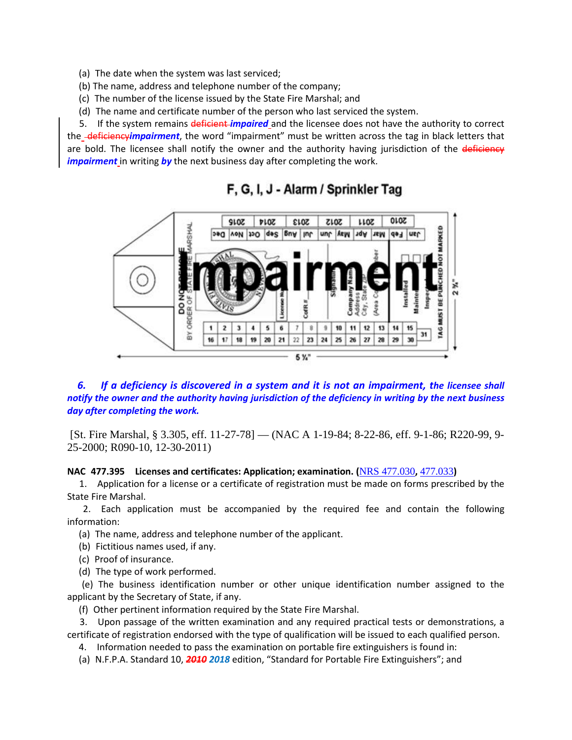- (a) The date when the system was last serviced;
- (b) The name, address and telephone number of the company;
- (c) The number of the license issued by the State Fire Marshal; and
- (d) The name and certificate number of the person who last serviced the system.

 5. If the system remains deficient *impaired* and the licensee does not have the authority to correct the deficiency*impairment*, the word "impairment" must be written across the tag in black letters that are bold. The licensee shall notify the owner and the authority having jurisdiction of the deficiency *impairment* in writing by the next business day after completing the work.



# F. G. I. J - Alarm / Sprinkler Tag

 *6. If a deficiency is discovered in a system and it is not an impairment, the licensee shall notify the owner and the authority having jurisdiction of the deficiency in writing by the next business day after completing the work.*

[St. Fire Marshal, § 3.305, eff. 11-27-78] — (NAC A 1-19-84; 8-22-86, eff. 9-1-86; R220-99, 9- 25-2000; R090-10, 12-30-2011)

# **NAC 477.395 Licenses and certificates: Application; examination. (**[NRS 477.030](https://www.leg.state.nv.us/NRS/NRS-477.html#NRS477Sec030)**,** [477.033](https://www.leg.state.nv.us/NRS/NRS-477.html#NRS477Sec033)**)**

 1. Application for a license or a certificate of registration must be made on forms prescribed by the State Fire Marshal.

 2. Each application must be accompanied by the required fee and contain the following information:

(a) The name, address and telephone number of the applicant.

- (b) Fictitious names used, if any.
- (c) Proof of insurance.
- (d) The type of work performed.

 (e) The business identification number or other unique identification number assigned to the applicant by the Secretary of State, if any.

(f) Other pertinent information required by the State Fire Marshal.

 3. Upon passage of the written examination and any required practical tests or demonstrations, a certificate of registration endorsed with the type of qualification will be issued to each qualified person.

4. Information needed to pass the examination on portable fire extinguishers is found in:

(a) N.F.P.A. Standard 10, *2010 2018* edition, "Standard for Portable Fire Extinguishers"; and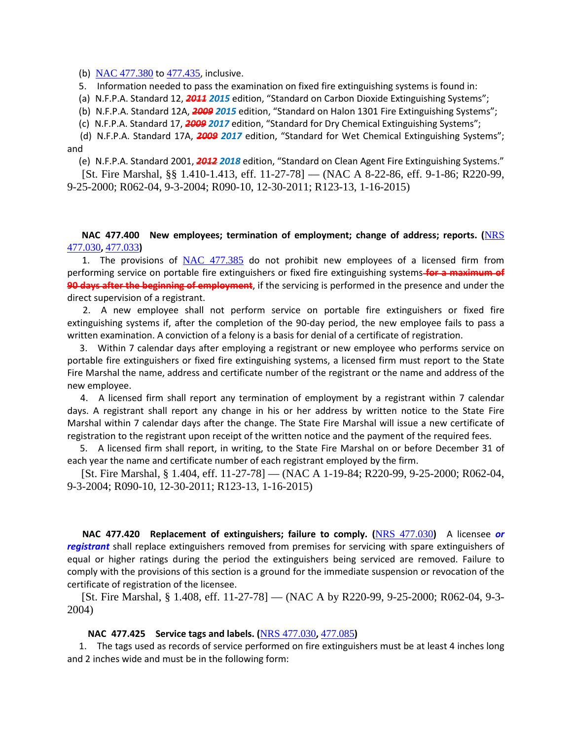#### (b) [NAC 477.380](https://www.leg.state.nv.us/NAC/NAC-477.html#NAC477Sec380) to [477.435](https://www.leg.state.nv.us/NAC/NAC-477.html#NAC477Sec435), inclusive.

5. Information needed to pass the examination on fixed fire extinguishing systems is found in:

(a) N.F.P.A. Standard 12, *2011 2015* edition, "Standard on Carbon Dioxide Extinguishing Systems";

(b) N.F.P.A. Standard 12A, *2009 2015* edition, "Standard on Halon 1301 Fire Extinguishing Systems";

(c) N.F.P.A. Standard 17, *2009 2017* edition, "Standard for Dry Chemical Extinguishing Systems";

 (d) N.F.P.A. Standard 17A, *2009 2017* edition, "Standard for Wet Chemical Extinguishing Systems"; and

(e) N.F.P.A. Standard 2001, *2012 2018* edition, "Standard on Clean Agent Fire Extinguishing Systems."

 [St. Fire Marshal, §§ 1.410-1.413, eff. 11-27-78] — (NAC A 8-22-86, eff. 9-1-86; R220-99, 9-25-2000; R062-04, 9-3-2004; R090-10, 12-30-2011; R123-13, 1-16-2015)

# **NAC 477.400 New employees; termination of employment; change of address; reports. (**[NRS](https://www.leg.state.nv.us/NRS/NRS-477.html#NRS477Sec030)  [477.030](https://www.leg.state.nv.us/NRS/NRS-477.html#NRS477Sec030)**,** [477.033](https://www.leg.state.nv.us/NRS/NRS-477.html#NRS477Sec033)**)**

1. The provisions of  $NAC$  477.385 do not prohibit new employees of a licensed firm from performing service on portable fire extinguishers or fixed fire extinguishing systems **for a maximum of 90 days after the beginning of employment**, if the servicing is performed in the presence and under the direct supervision of a registrant.

 2. A new employee shall not perform service on portable fire extinguishers or fixed fire extinguishing systems if, after the completion of the 90-day period, the new employee fails to pass a written examination. A conviction of a felony is a basis for denial of a certificate of registration.

 3. Within 7 calendar days after employing a registrant or new employee who performs service on portable fire extinguishers or fixed fire extinguishing systems, a licensed firm must report to the State Fire Marshal the name, address and certificate number of the registrant or the name and address of the new employee.

 4. A licensed firm shall report any termination of employment by a registrant within 7 calendar days. A registrant shall report any change in his or her address by written notice to the State Fire Marshal within 7 calendar days after the change. The State Fire Marshal will issue a new certificate of registration to the registrant upon receipt of the written notice and the payment of the required fees.

 5. A licensed firm shall report, in writing, to the State Fire Marshal on or before December 31 of each year the name and certificate number of each registrant employed by the firm.

 [St. Fire Marshal, § 1.404, eff. 11-27-78] — (NAC A 1-19-84; R220-99, 9-25-2000; R062-04, 9-3-2004; R090-10, 12-30-2011; R123-13, 1-16-2015)

 **NAC 477.420 Replacement of extinguishers; failure to comply. (**[NRS 477.030](https://www.leg.state.nv.us/NRS/NRS-477.html#NRS477Sec030)**)** A licensee *or registrant* shall replace extinguishers removed from premises for servicing with spare extinguishers of equal or higher ratings during the period the extinguishers being serviced are removed. Failure to comply with the provisions of this section is a ground for the immediate suspension or revocation of the certificate of registration of the licensee.

 [St. Fire Marshal, § 1.408, eff. 11-27-78] — (NAC A by R220-99, 9-25-2000; R062-04, 9-3- 2004)

#### **NAC 477.425 Service tags and labels. (**[NRS 477.030](https://www.leg.state.nv.us/NRS/NRS-477.html#NRS477Sec030)**,** [477.085](https://www.leg.state.nv.us/NRS/NRS-477.html#NRS477Sec085)**)**

 1. The tags used as records of service performed on fire extinguishers must be at least 4 inches long and 2 inches wide and must be in the following form: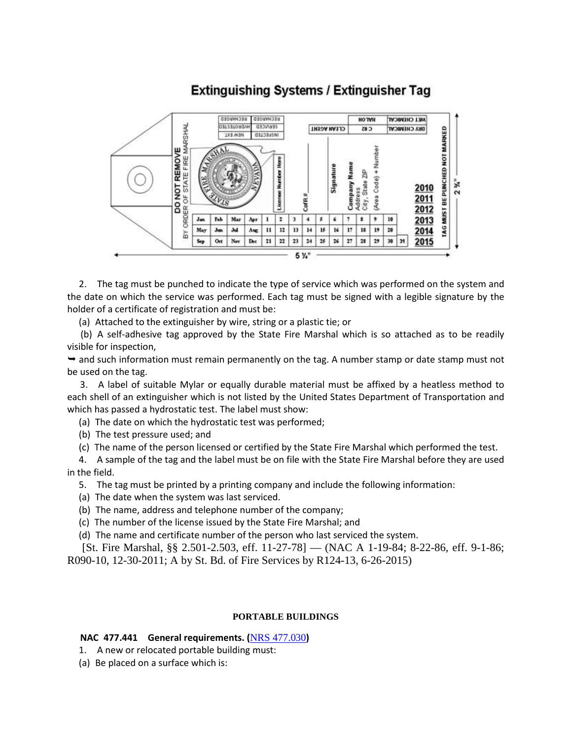

# **Extinguishing Systems / Extinguisher Tag**

 2. The tag must be punched to indicate the type of service which was performed on the system and the date on which the service was performed. Each tag must be signed with a legible signature by the holder of a certificate of registration and must be:

(a) Attached to the extinguisher by wire, string or a plastic tie; or

 (b) A self-adhesive tag approved by the State Fire Marshal which is so attached as to be readily visible for inspection,

 $\rightarrow$  and such information must remain permanently on the tag. A number stamp or date stamp must not be used on the tag.

 3. A label of suitable Mylar or equally durable material must be affixed by a heatless method to each shell of an extinguisher which is not listed by the United States Department of Transportation and which has passed a hydrostatic test. The label must show:

(a) The date on which the hydrostatic test was performed;

(b) The test pressure used; and

(c) The name of the person licensed or certified by the State Fire Marshal which performed the test.

 4. A sample of the tag and the label must be on file with the State Fire Marshal before they are used in the field.

5. The tag must be printed by a printing company and include the following information:

- (a) The date when the system was last serviced.
- (b) The name, address and telephone number of the company;
- (c) The number of the license issued by the State Fire Marshal; and
- (d) The name and certificate number of the person who last serviced the system.

 [St. Fire Marshal, §§ 2.501-2.503, eff. 11-27-78] — (NAC A 1-19-84; 8-22-86, eff. 9-1-86; R090-10, 12-30-2011; A by St. Bd. of Fire Services by R124-13, 6-26-2015)

# **PORTABLE BUILDINGS**

# **NAC 477.441 General requirements. (**[NRS 477.030](https://www.leg.state.nv.us/NRS/NRS-477.html#NRS477Sec030)**)**

- 1. A new or relocated portable building must:
- (a) Be placed on a surface which is: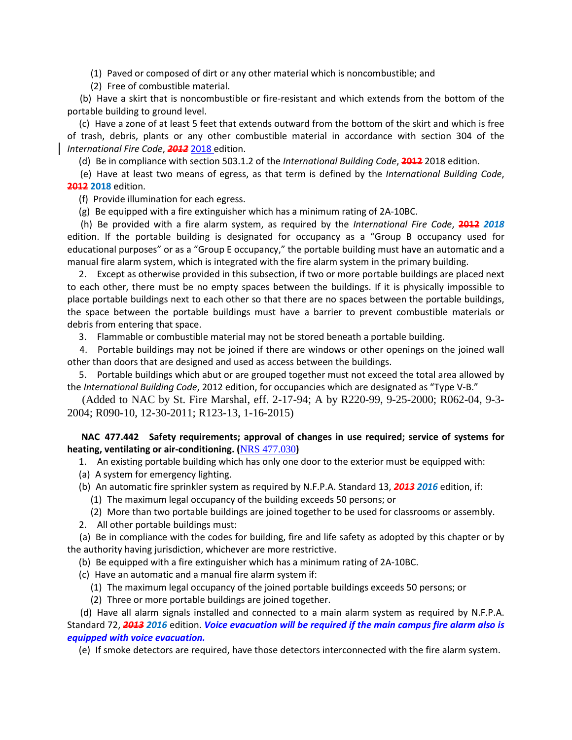(1) Paved or composed of dirt or any other material which is noncombustible; and

(2) Free of combustible material.

 (b) Have a skirt that is noncombustible or fire-resistant and which extends from the bottom of the portable building to ground level.

 (c) Have a zone of at least 5 feet that extends outward from the bottom of the skirt and which is free of trash, debris, plants or any other combustible material in accordance with section 304 of the *International Fire Code*, *2012* 2018 edition.

(d) Be in compliance with section 503.1.2 of the *International Building Code*, **2012** 2018 edition.

 (e) Have at least two means of egress, as that term is defined by the *International Building Code*, **2012 2018** edition.

(f) Provide illumination for each egress.

(g) Be equipped with a fire extinguisher which has a minimum rating of 2A-10BC.

 (h) Be provided with a fire alarm system, as required by the *International Fire Code*, **2012** *2018* edition. If the portable building is designated for occupancy as a "Group B occupancy used for educational purposes" or as a "Group E occupancy," the portable building must have an automatic and a manual fire alarm system, which is integrated with the fire alarm system in the primary building.

 2. Except as otherwise provided in this subsection, if two or more portable buildings are placed next to each other, there must be no empty spaces between the buildings. If it is physically impossible to place portable buildings next to each other so that there are no spaces between the portable buildings, the space between the portable buildings must have a barrier to prevent combustible materials or debris from entering that space.

3. Flammable or combustible material may not be stored beneath a portable building.

 4. Portable buildings may not be joined if there are windows or other openings on the joined wall other than doors that are designed and used as access between the buildings.

 5. Portable buildings which abut or are grouped together must not exceed the total area allowed by the *International Building Code*, 2012 edition, for occupancies which are designated as "Type V-B."

 (Added to NAC by St. Fire Marshal, eff. 2-17-94; A by R220-99, 9-25-2000; R062-04, 9-3- 2004; R090-10, 12-30-2011; R123-13, 1-16-2015)

 **NAC 477.442 Safety requirements; approval of changes in use required; service of systems for heating, ventilating or air-conditioning. (**[NRS 477.030](https://www.leg.state.nv.us/NRS/NRS-477.html#NRS477Sec030)**)**

1. An existing portable building which has only one door to the exterior must be equipped with:

- (a) A system for emergency lighting.
- (b) An automatic fire sprinkler system as required by N.F.P.A. Standard 13, *2013 2016* edition, if:
	- (1) The maximum legal occupancy of the building exceeds 50 persons; or
	- (2) More than two portable buildings are joined together to be used for classrooms or assembly.
- 2. All other portable buildings must:

 (a) Be in compliance with the codes for building, fire and life safety as adopted by this chapter or by the authority having jurisdiction, whichever are more restrictive.

(b) Be equipped with a fire extinguisher which has a minimum rating of 2A-10BC.

- (c) Have an automatic and a manual fire alarm system if:
	- (1) The maximum legal occupancy of the joined portable buildings exceeds 50 persons; or
	- (2) Three or more portable buildings are joined together.

 (d) Have all alarm signals installed and connected to a main alarm system as required by N.F.P.A. Standard 72, *2013 2016* edition. *Voice evacuation will be required if the main campus fire alarm also is equipped with voice evacuation.*

(e) If smoke detectors are required, have those detectors interconnected with the fire alarm system.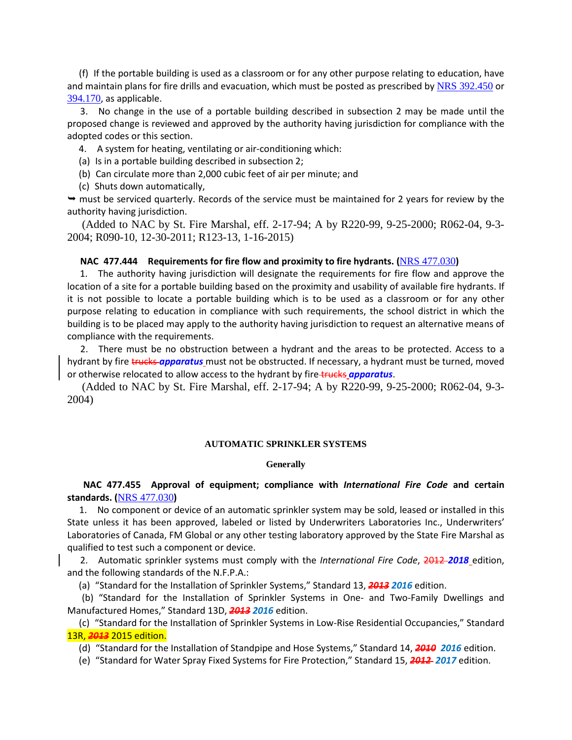(f) If the portable building is used as a classroom or for any other purpose relating to education, have and maintain plans for fire drills and evacuation, which must be posted as prescribed by [NRS 392.450](https://www.leg.state.nv.us/NRS/NRS-392.html#NRS392Sec450) or [394.170](https://www.leg.state.nv.us/NRS/NRS-394.html#NRS394Sec170), as applicable.

 3. No change in the use of a portable building described in subsection 2 may be made until the proposed change is reviewed and approved by the authority having jurisdiction for compliance with the adopted codes or this section.

4. A system for heating, ventilating or air-conditioning which:

(a) Is in a portable building described in subsection 2;

(b) Can circulate more than 2,000 cubic feet of air per minute; and

(c) Shuts down automatically,

 $\rightarrow$  must be serviced quarterly. Records of the service must be maintained for 2 years for review by the authority having jurisdiction.

 (Added to NAC by St. Fire Marshal, eff. 2-17-94; A by R220-99, 9-25-2000; R062-04, 9-3- 2004; R090-10, 12-30-2011; R123-13, 1-16-2015)

### **NAC 477.444 Requirements for fire flow and proximity to fire hydrants. (**[NRS 477.030](https://www.leg.state.nv.us/NRS/NRS-477.html#NRS477Sec030)**)**

 1. The authority having jurisdiction will designate the requirements for fire flow and approve the location of a site for a portable building based on the proximity and usability of available fire hydrants. If it is not possible to locate a portable building which is to be used as a classroom or for any other purpose relating to education in compliance with such requirements, the school district in which the building is to be placed may apply to the authority having jurisdiction to request an alternative means of compliance with the requirements.

 2. There must be no obstruction between a hydrant and the areas to be protected. Access to a hydrant by fire trucks *apparatus* must not be obstructed. If necessary, a hydrant must be turned, moved or otherwise relocated to allow access to the hydrant by fire-trucks *apparatus*.

 (Added to NAC by St. Fire Marshal, eff. 2-17-94; A by R220-99, 9-25-2000; R062-04, 9-3- 2004)

#### **AUTOMATIC SPRINKLER SYSTEMS**

#### **Generally**

 **NAC 477.455 Approval of equipment; compliance with** *International Fire Code* **and certain standards. (**[NRS 477.030](https://www.leg.state.nv.us/NRS/NRS-477.html#NRS477Sec030)**)**

 1. No component or device of an automatic sprinkler system may be sold, leased or installed in this State unless it has been approved, labeled or listed by Underwriters Laboratories Inc., Underwriters' Laboratories of Canada, FM Global or any other testing laboratory approved by the State Fire Marshal as qualified to test such a component or device.

 2. Automatic sprinkler systems must comply with the *International Fire Code*, 2012 *2018* edition, and the following standards of the N.F.P.A.:

(a) "Standard for the Installation of Sprinkler Systems," Standard 13, *2013 2016* edition.

 (b) "Standard for the Installation of Sprinkler Systems in One- and Two-Family Dwellings and Manufactured Homes," Standard 13D, *2013 2016* edition.

 (c) "Standard for the Installation of Sprinkler Systems in Low-Rise Residential Occupancies," Standard 13R, *2013* 2015 edition.

(d) "Standard for the Installation of Standpipe and Hose Systems," Standard 14, *2010 2016* edition.

(e) "Standard for Water Spray Fixed Systems for Fire Protection," Standard 15, *2012 2017* edition.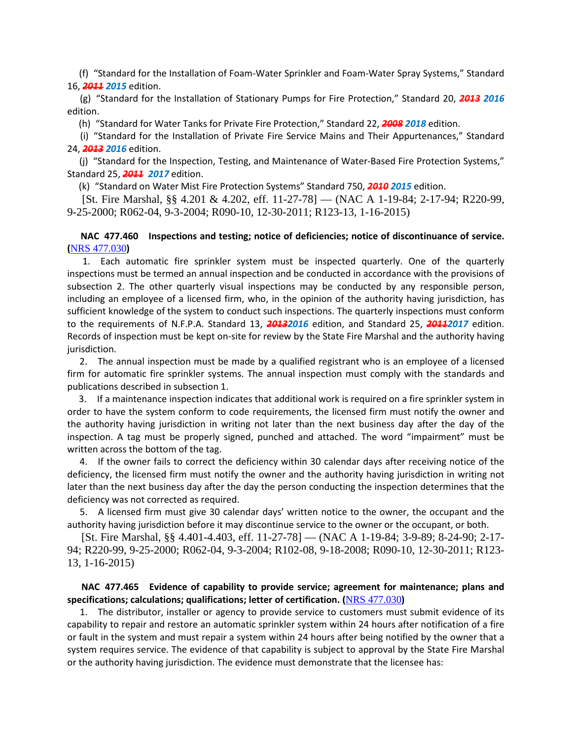(f) "Standard for the Installation of Foam-Water Sprinkler and Foam-Water Spray Systems," Standard 16, *2011 2015* edition.

 (g) "Standard for the Installation of Stationary Pumps for Fire Protection," Standard 20, *2013 2016* edition.

(h) "Standard for Water Tanks for Private Fire Protection," Standard 22, *2008 2018* edition.

 (i) "Standard for the Installation of Private Fire Service Mains and Their Appurtenances," Standard 24, *2013 2016* edition.

 (j) "Standard for the Inspection, Testing, and Maintenance of Water-Based Fire Protection Systems," Standard 25, *2011 2017* edition.

(k) "Standard on Water Mist Fire Protection Systems" Standard 750, *2010 2015* edition.

 [St. Fire Marshal, §§ 4.201 & 4.202, eff. 11-27-78] — (NAC A 1-19-84; 2-17-94; R220-99, 9-25-2000; R062-04, 9-3-2004; R090-10, 12-30-2011; R123-13, 1-16-2015)

# **NAC 477.460 Inspections and testing; notice of deficiencies; notice of discontinuance of service. (**[NRS 477.030](https://www.leg.state.nv.us/NRS/NRS-477.html#NRS477Sec030)**)**

 1. Each automatic fire sprinkler system must be inspected quarterly. One of the quarterly inspections must be termed an annual inspection and be conducted in accordance with the provisions of subsection 2. The other quarterly visual inspections may be conducted by any responsible person, including an employee of a licensed firm, who, in the opinion of the authority having jurisdiction, has sufficient knowledge of the system to conduct such inspections. The quarterly inspections must conform to the requirements of N.F.P.A. Standard 13, *20132016* edition, and Standard 25, *20112017* edition. Records of inspection must be kept on-site for review by the State Fire Marshal and the authority having jurisdiction.

 2. The annual inspection must be made by a qualified registrant who is an employee of a licensed firm for automatic fire sprinkler systems. The annual inspection must comply with the standards and publications described in subsection 1.

 3. If a maintenance inspection indicates that additional work is required on a fire sprinkler system in order to have the system conform to code requirements, the licensed firm must notify the owner and the authority having jurisdiction in writing not later than the next business day after the day of the inspection. A tag must be properly signed, punched and attached. The word "impairment" must be written across the bottom of the tag.

 4. If the owner fails to correct the deficiency within 30 calendar days after receiving notice of the deficiency, the licensed firm must notify the owner and the authority having jurisdiction in writing not later than the next business day after the day the person conducting the inspection determines that the deficiency was not corrected as required.

 5. A licensed firm must give 30 calendar days' written notice to the owner, the occupant and the authority having jurisdiction before it may discontinue service to the owner or the occupant, or both.

 [St. Fire Marshal, §§ 4.401-4.403, eff. 11-27-78] — (NAC A 1-19-84; 3-9-89; 8-24-90; 2-17- 94; R220-99, 9-25-2000; R062-04, 9-3-2004; R102-08, 9-18-2008; R090-10, 12-30-2011; R123- 13, 1-16-2015)

# **NAC 477.465 Evidence of capability to provide service; agreement for maintenance; plans and specifications; calculations; qualifications; letter of certification. (**[NRS 477.030](https://www.leg.state.nv.us/NRS/NRS-477.html#NRS477Sec030)**)**

 1. The distributor, installer or agency to provide service to customers must submit evidence of its capability to repair and restore an automatic sprinkler system within 24 hours after notification of a fire or fault in the system and must repair a system within 24 hours after being notified by the owner that a system requires service. The evidence of that capability is subject to approval by the State Fire Marshal or the authority having jurisdiction. The evidence must demonstrate that the licensee has: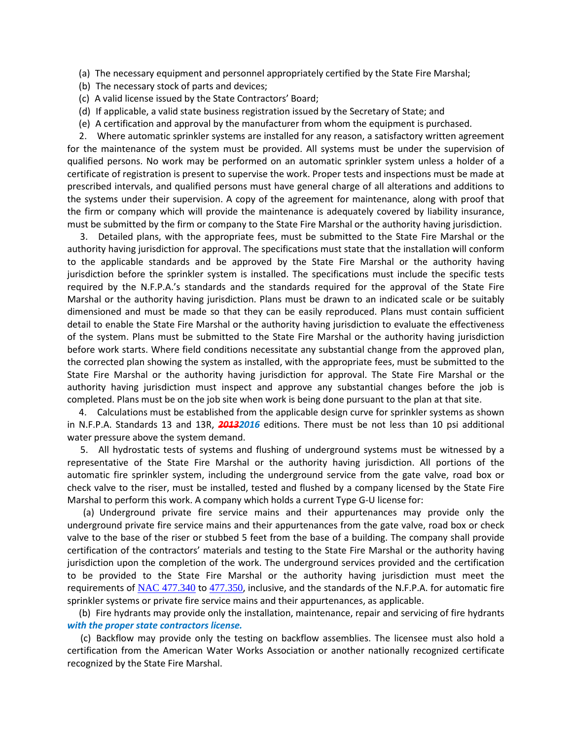(a) The necessary equipment and personnel appropriately certified by the State Fire Marshal;

- (b) The necessary stock of parts and devices;
- (c) A valid license issued by the State Contractors' Board;
- (d) If applicable, a valid state business registration issued by the Secretary of State; and
- (e) A certification and approval by the manufacturer from whom the equipment is purchased.

 2. Where automatic sprinkler systems are installed for any reason, a satisfactory written agreement for the maintenance of the system must be provided. All systems must be under the supervision of qualified persons. No work may be performed on an automatic sprinkler system unless a holder of a certificate of registration is present to supervise the work. Proper tests and inspections must be made at prescribed intervals, and qualified persons must have general charge of all alterations and additions to the systems under their supervision. A copy of the agreement for maintenance, along with proof that the firm or company which will provide the maintenance is adequately covered by liability insurance, must be submitted by the firm or company to the State Fire Marshal or the authority having jurisdiction.

 3. Detailed plans, with the appropriate fees, must be submitted to the State Fire Marshal or the authority having jurisdiction for approval. The specifications must state that the installation will conform to the applicable standards and be approved by the State Fire Marshal or the authority having jurisdiction before the sprinkler system is installed. The specifications must include the specific tests required by the N.F.P.A.'s standards and the standards required for the approval of the State Fire Marshal or the authority having jurisdiction. Plans must be drawn to an indicated scale or be suitably dimensioned and must be made so that they can be easily reproduced. Plans must contain sufficient detail to enable the State Fire Marshal or the authority having jurisdiction to evaluate the effectiveness of the system. Plans must be submitted to the State Fire Marshal or the authority having jurisdiction before work starts. Where field conditions necessitate any substantial change from the approved plan, the corrected plan showing the system as installed, with the appropriate fees, must be submitted to the State Fire Marshal or the authority having jurisdiction for approval. The State Fire Marshal or the authority having jurisdiction must inspect and approve any substantial changes before the job is completed. Plans must be on the job site when work is being done pursuant to the plan at that site.

 4. Calculations must be established from the applicable design curve for sprinkler systems as shown in N.F.P.A. Standards 13 and 13R, *20132016* editions. There must be not less than 10 psi additional water pressure above the system demand.

 5. All hydrostatic tests of systems and flushing of underground systems must be witnessed by a representative of the State Fire Marshal or the authority having jurisdiction. All portions of the automatic fire sprinkler system, including the underground service from the gate valve, road box or check valve to the riser, must be installed, tested and flushed by a company licensed by the State Fire Marshal to perform this work. A company which holds a current Type G-U license for:

 (a) Underground private fire service mains and their appurtenances may provide only the underground private fire service mains and their appurtenances from the gate valve, road box or check valve to the base of the riser or stubbed 5 feet from the base of a building. The company shall provide certification of the contractors' materials and testing to the State Fire Marshal or the authority having jurisdiction upon the completion of the work. The underground services provided and the certification to be provided to the State Fire Marshal or the authority having jurisdiction must meet the requirements of [NAC 477.340](https://www.leg.state.nv.us/NAC/NAC-477.html#NAC477Sec340) to [477.350](https://www.leg.state.nv.us/NAC/NAC-477.html#NAC477Sec350), inclusive, and the standards of the N.F.P.A. for automatic fire sprinkler systems or private fire service mains and their appurtenances, as applicable.

 (b) Fire hydrants may provide only the installation, maintenance, repair and servicing of fire hydrants *with the proper state contractors license.*

 (c) Backflow may provide only the testing on backflow assemblies. The licensee must also hold a certification from the American Water Works Association or another nationally recognized certificate recognized by the State Fire Marshal.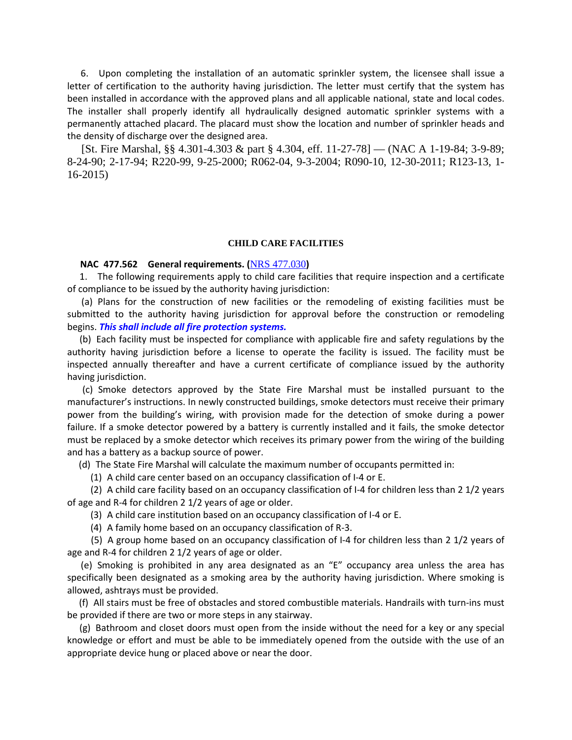6. Upon completing the installation of an automatic sprinkler system, the licensee shall issue a letter of certification to the authority having jurisdiction. The letter must certify that the system has been installed in accordance with the approved plans and all applicable national, state and local codes. The installer shall properly identify all hydraulically designed automatic sprinkler systems with a permanently attached placard. The placard must show the location and number of sprinkler heads and the density of discharge over the designed area.

 [St. Fire Marshal, §§ 4.301-4.303 & part § 4.304, eff. 11-27-78] — (NAC A 1-19-84; 3-9-89; 8-24-90; 2-17-94; R220-99, 9-25-2000; R062-04, 9-3-2004; R090-10, 12-30-2011; R123-13, 1- 16-2015)

#### **CHILD CARE FACILITIES**

### **NAC 477.562 General requirements. (**[NRS 477.030](https://www.leg.state.nv.us/NRS/NRS-477.html#NRS477Sec030)**)**

 1. The following requirements apply to child care facilities that require inspection and a certificate of compliance to be issued by the authority having jurisdiction:

 (a) Plans for the construction of new facilities or the remodeling of existing facilities must be submitted to the authority having jurisdiction for approval before the construction or remodeling begins. *This shall include all fire protection systems.*

 (b) Each facility must be inspected for compliance with applicable fire and safety regulations by the authority having jurisdiction before a license to operate the facility is issued. The facility must be inspected annually thereafter and have a current certificate of compliance issued by the authority having jurisdiction.

 (c) Smoke detectors approved by the State Fire Marshal must be installed pursuant to the manufacturer's instructions. In newly constructed buildings, smoke detectors must receive their primary power from the building's wiring, with provision made for the detection of smoke during a power failure. If a smoke detector powered by a battery is currently installed and it fails, the smoke detector must be replaced by a smoke detector which receives its primary power from the wiring of the building and has a battery as a backup source of power.

(d) The State Fire Marshal will calculate the maximum number of occupants permitted in:

(1) A child care center based on an occupancy classification of I-4 or E.

 (2) A child care facility based on an occupancy classification of I-4 for children less than 2 1/2 years of age and R-4 for children 2 1/2 years of age or older.

(3) A child care institution based on an occupancy classification of I-4 or E.

(4) A family home based on an occupancy classification of R-3.

 (5) A group home based on an occupancy classification of I-4 for children less than 2 1/2 years of age and R-4 for children 2 1/2 years of age or older.

 (e) Smoking is prohibited in any area designated as an "E" occupancy area unless the area has specifically been designated as a smoking area by the authority having jurisdiction. Where smoking is allowed, ashtrays must be provided.

 (f) All stairs must be free of obstacles and stored combustible materials. Handrails with turn-ins must be provided if there are two or more steps in any stairway.

 (g) Bathroom and closet doors must open from the inside without the need for a key or any special knowledge or effort and must be able to be immediately opened from the outside with the use of an appropriate device hung or placed above or near the door.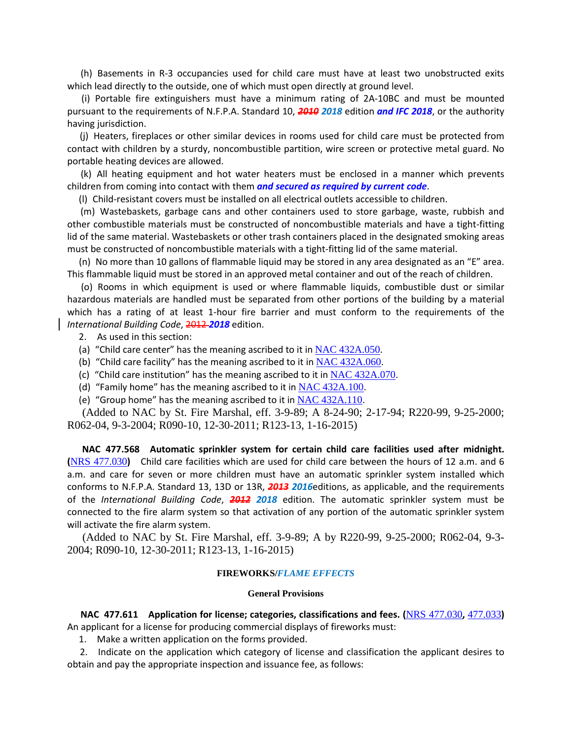(h) Basements in R-3 occupancies used for child care must have at least two unobstructed exits which lead directly to the outside, one of which must open directly at ground level.

 (i) Portable fire extinguishers must have a minimum rating of 2A-10BC and must be mounted pursuant to the requirements of N.F.P.A. Standard 10, *2010 2018* edition *and IFC 2018*, or the authority having jurisdiction.

 (j) Heaters, fireplaces or other similar devices in rooms used for child care must be protected from contact with children by a sturdy, noncombustible partition, wire screen or protective metal guard. No portable heating devices are allowed.

 (k) All heating equipment and hot water heaters must be enclosed in a manner which prevents children from coming into contact with them *and secured as required by current code*.

(l) Child-resistant covers must be installed on all electrical outlets accessible to children.

 (m) Wastebaskets, garbage cans and other containers used to store garbage, waste, rubbish and other combustible materials must be constructed of noncombustible materials and have a tight-fitting lid of the same material. Wastebaskets or other trash containers placed in the designated smoking areas must be constructed of noncombustible materials with a tight-fitting lid of the same material.

 (n) No more than 10 gallons of flammable liquid may be stored in any area designated as an "E" area. This flammable liquid must be stored in an approved metal container and out of the reach of children.

 (o) Rooms in which equipment is used or where flammable liquids, combustible dust or similar hazardous materials are handled must be separated from other portions of the building by a material which has a rating of at least 1-hour fire barrier and must conform to the requirements of the *International Building Code*, 2012 *2018* edition.

- 2. As used in this section:
- (a) "Child care center" has the meaning ascribed to it in  $NAC$  432A.050.
- (b) "Child care facility" has the meaning ascribed to it in  $NAC$  432A.060.
- (c) "Child care institution" has the meaning ascribed to it in  $NAC$  432A.070.
- (d) "Family home" has the meaning ascribed to it in  $NAC$  432A.100.
- (e) "Group home" has the meaning ascribed to it in  $NAC$  432A.110.

 (Added to NAC by St. Fire Marshal, eff. 3-9-89; A 8-24-90; 2-17-94; R220-99, 9-25-2000; R062-04, 9-3-2004; R090-10, 12-30-2011; R123-13, 1-16-2015)

 **NAC 477.568 Automatic sprinkler system for certain child care facilities used after midnight. (**[NRS 477.030](https://www.leg.state.nv.us/NRS/NRS-477.html#NRS477Sec030)**)** Child care facilities which are used for child care between the hours of 12 a.m. and 6 a.m. and care for seven or more children must have an automatic sprinkler system installed which conforms to N.F.P.A. Standard 13, 13D or 13R, *2013 2016*editions, as applicable, and the requirements of the *International Building Code*, *2012 2018* edition. The automatic sprinkler system must be connected to the fire alarm system so that activation of any portion of the automatic sprinkler system will activate the fire alarm system.

 (Added to NAC by St. Fire Marshal, eff. 3-9-89; A by R220-99, 9-25-2000; R062-04, 9-3- 2004; R090-10, 12-30-2011; R123-13, 1-16-2015)

#### **FIREWORKS/***FLAME EFFECTS*

#### **General Provisions**

 **NAC 477.611 Application for license; categories, classifications and fees. (**[NRS 477.030](https://www.leg.state.nv.us/NRS/NRS-477.html#NRS477Sec030)**,** [477.033](https://www.leg.state.nv.us/NRS/NRS-477.html#NRS477Sec033)**)** An applicant for a license for producing commercial displays of fireworks must:

1. Make a written application on the forms provided.

 2. Indicate on the application which category of license and classification the applicant desires to obtain and pay the appropriate inspection and issuance fee, as follows: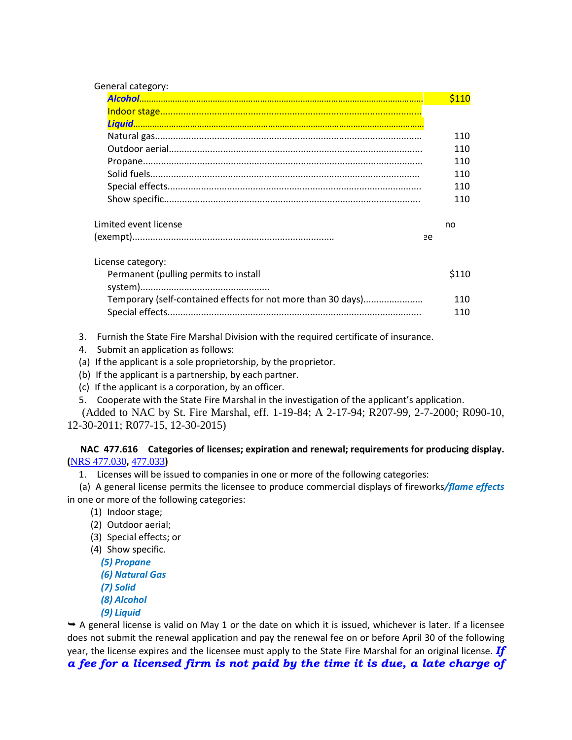| General category:                                            |             |
|--------------------------------------------------------------|-------------|
|                                                              | <b>S110</b> |
|                                                              |             |
|                                                              |             |
|                                                              | 110         |
|                                                              | 110         |
|                                                              | 110         |
|                                                              | 110         |
|                                                              | 110         |
|                                                              | 110         |
| Limited event license                                        | no          |
|                                                              | ee          |
| License category:                                            |             |
| Permanent (pulling permits to install                        | \$110       |
|                                                              |             |
| Temporary (self-contained effects for not more than 30 days) | 110         |
|                                                              | 110         |

3. Furnish the State Fire Marshal Division with the required certificate of insurance.

4. Submit an application as follows:

(a) If the applicant is a sole proprietorship, by the proprietor.

(b) If the applicant is a partnership, by each partner.

(c) If the applicant is a corporation, by an officer.

5. Cooperate with the State Fire Marshal in the investigation of the applicant's application.

 (Added to NAC by St. Fire Marshal, eff. 1-19-84; A 2-17-94; R207-99, 2-7-2000; R090-10, 12-30-2011; R077-15, 12-30-2015)

 **NAC 477.616 Categories of licenses; expiration and renewal; requirements for producing display. (**[NRS 477.030](https://www.leg.state.nv.us/NRS/NRS-477.html#NRS477Sec030)**,** [477.033](https://www.leg.state.nv.us/NRS/NRS-477.html#NRS477Sec033)**)**

1. Licenses will be issued to companies in one or more of the following categories:

 (a) A general license permits the licensee to produce commercial displays of fireworks*/flame effects* in one or more of the following categories:

- (1) Indoor stage;
- (2) Outdoor aerial;
- (3) Special effects; or
- (4) Show specific.
	- *(5) Propane*
	- *(6) Natural Gas*
	- *(7) Solid*
	- *(8) Alcohol*
	- *(9) Liquid*

 $\rightarrow$  A general license is valid on May 1 or the date on which it is issued, whichever is later. If a licensee does not submit the renewal application and pay the renewal fee on or before April 30 of the following year, the license expires and the licensee must apply to the State Fire Marshal for an original license. *If a fee for a licensed firm is not paid by the time it is due, a late charge of*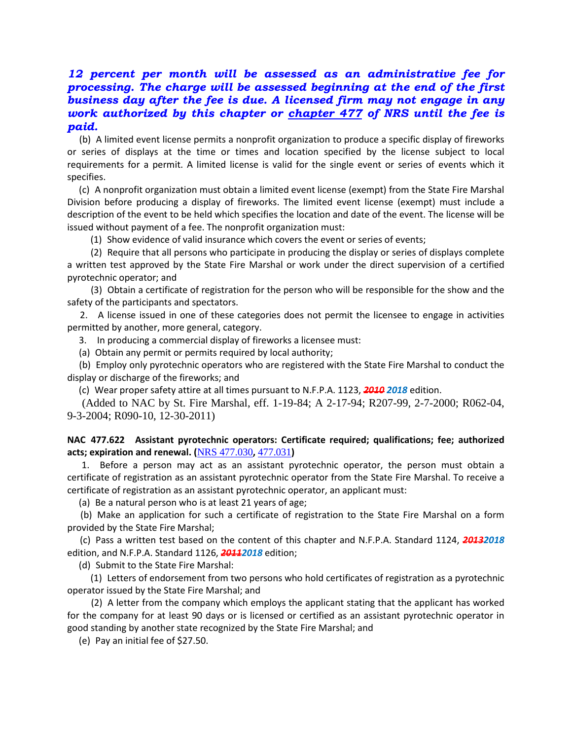# *12 percent per month will be assessed as an administrative fee for processing. The charge will be assessed beginning at the end of the first business day after the fee is due. A licensed firm may not engage in any work authorized by this chapter or [chapter 477](https://www.leg.state.nv.us/NRS/NRS-477.html#NRS477) of NRS until the fee is paid.*

 (b) A limited event license permits a nonprofit organization to produce a specific display of fireworks or series of displays at the time or times and location specified by the license subject to local requirements for a permit. A limited license is valid for the single event or series of events which it specifies.

 (c) A nonprofit organization must obtain a limited event license (exempt) from the State Fire Marshal Division before producing a display of fireworks. The limited event license (exempt) must include a description of the event to be held which specifies the location and date of the event. The license will be issued without payment of a fee. The nonprofit organization must:

(1) Show evidence of valid insurance which covers the event or series of events;

 (2) Require that all persons who participate in producing the display or series of displays complete a written test approved by the State Fire Marshal or work under the direct supervision of a certified pyrotechnic operator; and

 (3) Obtain a certificate of registration for the person who will be responsible for the show and the safety of the participants and spectators.

 2. A license issued in one of these categories does not permit the licensee to engage in activities permitted by another, more general, category.

3. In producing a commercial display of fireworks a licensee must:

(a) Obtain any permit or permits required by local authority;

 (b) Employ only pyrotechnic operators who are registered with the State Fire Marshal to conduct the display or discharge of the fireworks; and

(c) Wear proper safety attire at all times pursuant to N.F.P.A. 1123, *2010 2018* edition.

 (Added to NAC by St. Fire Marshal, eff. 1-19-84; A 2-17-94; R207-99, 2-7-2000; R062-04, 9-3-2004; R090-10, 12-30-2011)

# **NAC 477.622 Assistant pyrotechnic operators: Certificate required; qualifications; fee; authorized acts; expiration and renewal. (**[NRS 477.030](https://www.leg.state.nv.us/NRS/NRS-477.html#NRS477Sec030)**,** [477.031](https://www.leg.state.nv.us/NRS/NRS-477.html#NRS477Sec031)**)**

 1. Before a person may act as an assistant pyrotechnic operator, the person must obtain a certificate of registration as an assistant pyrotechnic operator from the State Fire Marshal. To receive a certificate of registration as an assistant pyrotechnic operator, an applicant must:

(a) Be a natural person who is at least 21 years of age;

 (b) Make an application for such a certificate of registration to the State Fire Marshal on a form provided by the State Fire Marshal;

 (c) Pass a written test based on the content of this chapter and N.F.P.A. Standard 1124, *20132018* edition, and N.F.P.A. Standard 1126, *20112018* edition;

(d) Submit to the State Fire Marshal:

 (1) Letters of endorsement from two persons who hold certificates of registration as a pyrotechnic operator issued by the State Fire Marshal; and

 (2) A letter from the company which employs the applicant stating that the applicant has worked for the company for at least 90 days or is licensed or certified as an assistant pyrotechnic operator in good standing by another state recognized by the State Fire Marshal; and

(e) Pay an initial fee of \$27.50.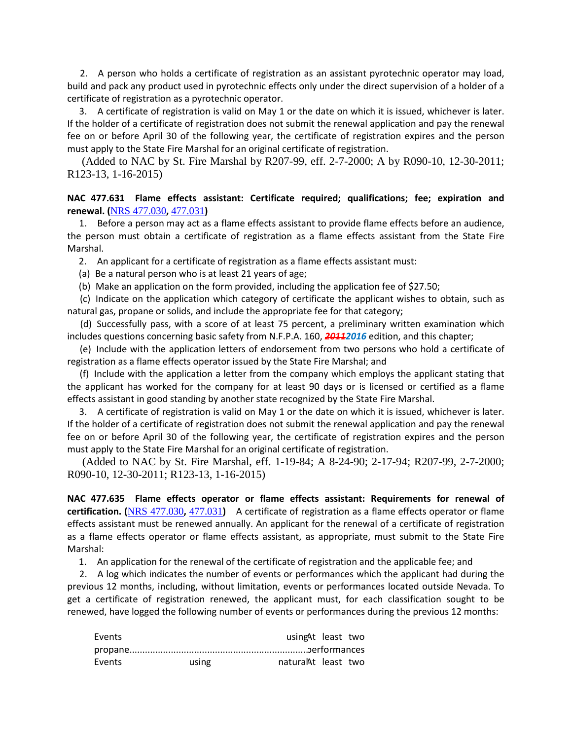2. A person who holds a certificate of registration as an assistant pyrotechnic operator may load, build and pack any product used in pyrotechnic effects only under the direct supervision of a holder of a certificate of registration as a pyrotechnic operator.

 3. A certificate of registration is valid on May 1 or the date on which it is issued, whichever is later. If the holder of a certificate of registration does not submit the renewal application and pay the renewal fee on or before April 30 of the following year, the certificate of registration expires and the person must apply to the State Fire Marshal for an original certificate of registration.

 (Added to NAC by St. Fire Marshal by R207-99, eff. 2-7-2000; A by R090-10, 12-30-2011; R123-13, 1-16-2015)

# **NAC 477.631 Flame effects assistant: Certificate required; qualifications; fee; expiration and renewal. (**[NRS 477.030](https://www.leg.state.nv.us/NRS/NRS-477.html#NRS477Sec030)**,** [477.031](https://www.leg.state.nv.us/NRS/NRS-477.html#NRS477Sec031)**)**

 1. Before a person may act as a flame effects assistant to provide flame effects before an audience, the person must obtain a certificate of registration as a flame effects assistant from the State Fire Marshal.

2. An applicant for a certificate of registration as a flame effects assistant must:

(a) Be a natural person who is at least 21 years of age;

(b) Make an application on the form provided, including the application fee of \$27.50;

 (c) Indicate on the application which category of certificate the applicant wishes to obtain, such as natural gas, propane or solids, and include the appropriate fee for that category;

 (d) Successfully pass, with a score of at least 75 percent, a preliminary written examination which includes questions concerning basic safety from N.F.P.A. 160, *20112016* edition, and this chapter;

 (e) Include with the application letters of endorsement from two persons who hold a certificate of registration as a flame effects operator issued by the State Fire Marshal; and

 (f) Include with the application a letter from the company which employs the applicant stating that the applicant has worked for the company for at least 90 days or is licensed or certified as a flame effects assistant in good standing by another state recognized by the State Fire Marshal.

 3. A certificate of registration is valid on May 1 or the date on which it is issued, whichever is later. If the holder of a certificate of registration does not submit the renewal application and pay the renewal fee on or before April 30 of the following year, the certificate of registration expires and the person must apply to the State Fire Marshal for an original certificate of registration.

 (Added to NAC by St. Fire Marshal, eff. 1-19-84; A 8-24-90; 2-17-94; R207-99, 2-7-2000; R090-10, 12-30-2011; R123-13, 1-16-2015)

**NAC 477.635 Flame effects operator or flame effects assistant: Requirements for renewal of certification. (**[NRS 477.030](https://www.leg.state.nv.us/NRS/NRS-477.html#NRS477Sec030)**,** [477.031](https://www.leg.state.nv.us/NRS/NRS-477.html#NRS477Sec031)**)** A certificate of registration as a flame effects operator or flame effects assistant must be renewed annually. An applicant for the renewal of a certificate of registration as a flame effects operator or flame effects assistant, as appropriate, must submit to the State Fire Marshal:

1. An application for the renewal of the certificate of registration and the applicable fee; and

 2. A log which indicates the number of events or performances which the applicant had during the previous 12 months, including, without limitation, events or performances located outside Nevada. To get a certificate of registration renewed, the applicant must, for each classification sought to be renewed, have logged the following number of events or performances during the previous 12 months:

| Events |       | usingAt least two   |  |
|--------|-------|---------------------|--|
|        |       |                     |  |
| Events | using | naturalAt least two |  |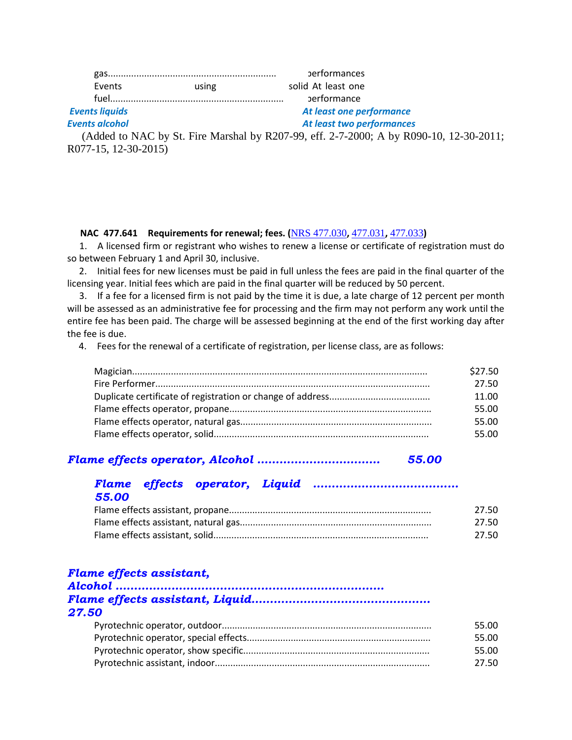|                |       | performances             |  |
|----------------|-------|--------------------------|--|
| Events         | using | solid At least one       |  |
|                |       | performance              |  |
| Events liquids |       | At least one performance |  |

# *Events alcohol At least two performances*

 (Added to NAC by St. Fire Marshal by R207-99, eff. 2-7-2000; A by R090-10, 12-30-2011; R077-15, 12-30-2015)

# **NAC 477.641 Requirements for renewal; fees. (**[NRS 477.030](https://www.leg.state.nv.us/NRS/NRS-477.html#NRS477Sec030)**,** [477.031](https://www.leg.state.nv.us/NRS/NRS-477.html#NRS477Sec031)**,** [477.033](https://www.leg.state.nv.us/NRS/NRS-477.html#NRS477Sec033)**)**

 1. A licensed firm or registrant who wishes to renew a license or certificate of registration must do so between February 1 and April 30, inclusive.

 2. Initial fees for new licenses must be paid in full unless the fees are paid in the final quarter of the licensing year. Initial fees which are paid in the final quarter will be reduced by 50 percent.

 3. If a fee for a licensed firm is not paid by the time it is due, a late charge of 12 percent per month will be assessed as an administrative fee for processing and the firm may not perform any work until the entire fee has been paid. The charge will be assessed beginning at the end of the first working day after the fee is due.

4. Fees for the renewal of a certificate of registration, per license class, are as follows:

| \$27.50 |
|---------|
| 27.50   |
| 11.00   |
| 55.00   |
| 55.00   |
| 55.00   |

# *Flame effects operator, Alcohol …………………………… 55.00*

# *Flame effects operator, Liquid ………………………………… 55.00*

| 27.50 |
|-------|
| 27.50 |
| 27.50 |

# *Flame effects assistant,*

| 27.50 |       |
|-------|-------|
|       | 55.00 |
|       | 55.00 |
|       | 55.00 |
|       | 27.50 |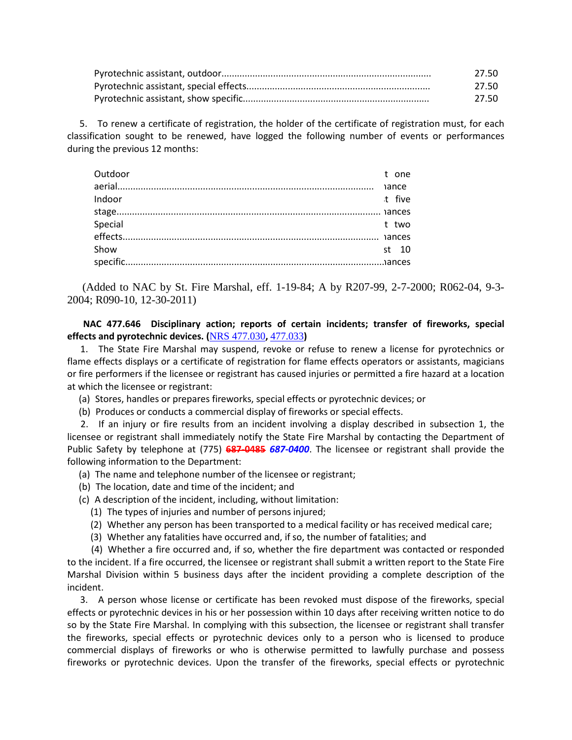| 27.50 |
|-------|
| 27.50 |
| 27.50 |

 5. To renew a certificate of registration, the holder of the certificate of registration must, for each classification sought to be renewed, have logged the following number of events or performances during the previous 12 months:

| Outdoor |  | t one  |
|---------|--|--------|
|         |  |        |
| Indoor  |  | t five |
|         |  |        |
| Special |  | t two  |
|         |  |        |
| Show    |  | st 10  |
|         |  |        |
|         |  |        |

 (Added to NAC by St. Fire Marshal, eff. 1-19-84; A by R207-99, 2-7-2000; R062-04, 9-3- 2004; R090-10, 12-30-2011)

 **NAC 477.646 Disciplinary action; reports of certain incidents; transfer of fireworks, special effects and pyrotechnic devices. (**[NRS 477.030](https://www.leg.state.nv.us/NRS/NRS-477.html#NRS477Sec030)**,** [477.033](https://www.leg.state.nv.us/NRS/NRS-477.html#NRS477Sec033)**)**

 1. The State Fire Marshal may suspend, revoke or refuse to renew a license for pyrotechnics or flame effects displays or a certificate of registration for flame effects operators or assistants, magicians or fire performers if the licensee or registrant has caused injuries or permitted a fire hazard at a location at which the licensee or registrant:

- (a) Stores, handles or prepares fireworks, special effects or pyrotechnic devices; or
- (b) Produces or conducts a commercial display of fireworks or special effects.

 2. If an injury or fire results from an incident involving a display described in subsection 1, the licensee or registrant shall immediately notify the State Fire Marshal by contacting the Department of Public Safety by telephone at (775) **687-0485** *687-0400*. The licensee or registrant shall provide the following information to the Department:

- (a) The name and telephone number of the licensee or registrant;
- (b) The location, date and time of the incident; and
- (c) A description of the incident, including, without limitation:
	- (1) The types of injuries and number of persons injured;
	- (2) Whether any person has been transported to a medical facility or has received medical care;
	- (3) Whether any fatalities have occurred and, if so, the number of fatalities; and

 (4) Whether a fire occurred and, if so, whether the fire department was contacted or responded to the incident. If a fire occurred, the licensee or registrant shall submit a written report to the State Fire Marshal Division within 5 business days after the incident providing a complete description of the incident.

 3. A person whose license or certificate has been revoked must dispose of the fireworks, special effects or pyrotechnic devices in his or her possession within 10 days after receiving written notice to do so by the State Fire Marshal. In complying with this subsection, the licensee or registrant shall transfer the fireworks, special effects or pyrotechnic devices only to a person who is licensed to produce commercial displays of fireworks or who is otherwise permitted to lawfully purchase and possess fireworks or pyrotechnic devices. Upon the transfer of the fireworks, special effects or pyrotechnic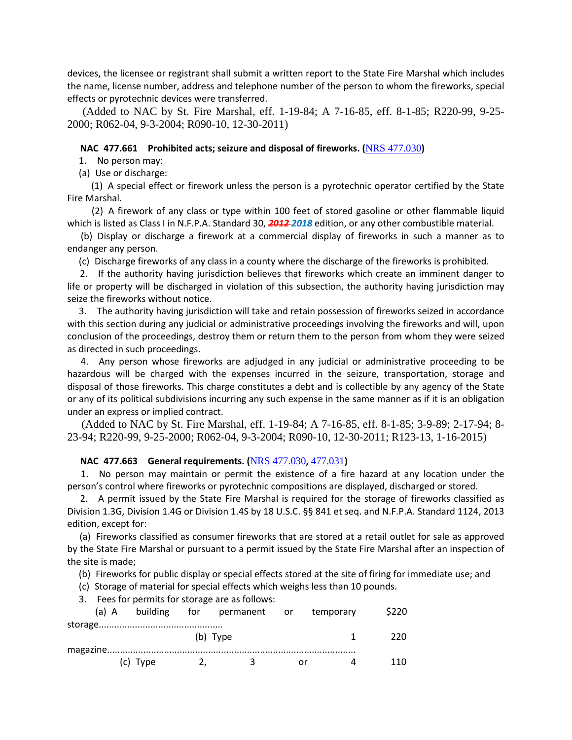devices, the licensee or registrant shall submit a written report to the State Fire Marshal which includes the name, license number, address and telephone number of the person to whom the fireworks, special effects or pyrotechnic devices were transferred.

 (Added to NAC by St. Fire Marshal, eff. 1-19-84; A 7-16-85, eff. 8-1-85; R220-99, 9-25- 2000; R062-04, 9-3-2004; R090-10, 12-30-2011)

## **NAC 477.661 Prohibited acts; seizure and disposal of fireworks. (**[NRS 477.030](https://www.leg.state.nv.us/NRS/NRS-477.html#NRS477Sec030)**)**

1. No person may:

(a) Use or discharge:

 (1) A special effect or firework unless the person is a pyrotechnic operator certified by the State Fire Marshal.

 (2) A firework of any class or type within 100 feet of stored gasoline or other flammable liquid which is listed as Class I in N.F.P.A. Standard 30, *2012 2018* edition, or any other combustible material.

 (b) Display or discharge a firework at a commercial display of fireworks in such a manner as to endanger any person.

(c) Discharge fireworks of any class in a county where the discharge of the fireworks is prohibited.

 2. If the authority having jurisdiction believes that fireworks which create an imminent danger to life or property will be discharged in violation of this subsection, the authority having jurisdiction may seize the fireworks without notice.

 3. The authority having jurisdiction will take and retain possession of fireworks seized in accordance with this section during any judicial or administrative proceedings involving the fireworks and will, upon conclusion of the proceedings, destroy them or return them to the person from whom they were seized as directed in such proceedings.

 4. Any person whose fireworks are adjudged in any judicial or administrative proceeding to be hazardous will be charged with the expenses incurred in the seizure, transportation, storage and disposal of those fireworks. This charge constitutes a debt and is collectible by any agency of the State or any of its political subdivisions incurring any such expense in the same manner as if it is an obligation under an express or implied contract.

 (Added to NAC by St. Fire Marshal, eff. 1-19-84; A 7-16-85, eff. 8-1-85; 3-9-89; 2-17-94; 8- 23-94; R220-99, 9-25-2000; R062-04, 9-3-2004; R090-10, 12-30-2011; R123-13, 1-16-2015)

## **NAC 477.663 General requirements. (**[NRS 477.030](https://www.leg.state.nv.us/NRS/NRS-477.html#NRS477Sec030)**,** [477.031](https://www.leg.state.nv.us/NRS/NRS-477.html#NRS477Sec031)**)**

 1. No person may maintain or permit the existence of a fire hazard at any location under the person's control where fireworks or pyrotechnic compositions are displayed, discharged or stored.

 2. A permit issued by the State Fire Marshal is required for the storage of fireworks classified as Division 1.3G, Division 1.4G or Division 1.4S by 18 U.S.C. §§ 841 et seq. and N.F.P.A. Standard 1124, 2013 edition, except for:

 (a) Fireworks classified as consumer fireworks that are stored at a retail outlet for sale as approved by the State Fire Marshal or pursuant to a permit issued by the State Fire Marshal after an inspection of the site is made;

(b) Fireworks for public display or special effects stored at the site of firing for immediate use; and

(c) Storage of material for special effects which weighs less than 10 pounds.

3. Fees for permits for storage are as follows:

|          |                                 | (a) A building for permanent or temporary |      | \$220 |
|----------|---------------------------------|-------------------------------------------|------|-------|
|          |                                 | (b) Type                                  |      | 220.  |
| (c) Type | $\mathbf{Z}$ , and $\mathbf{Z}$ | $\mathbf{R}$                              | or o | 11 N  |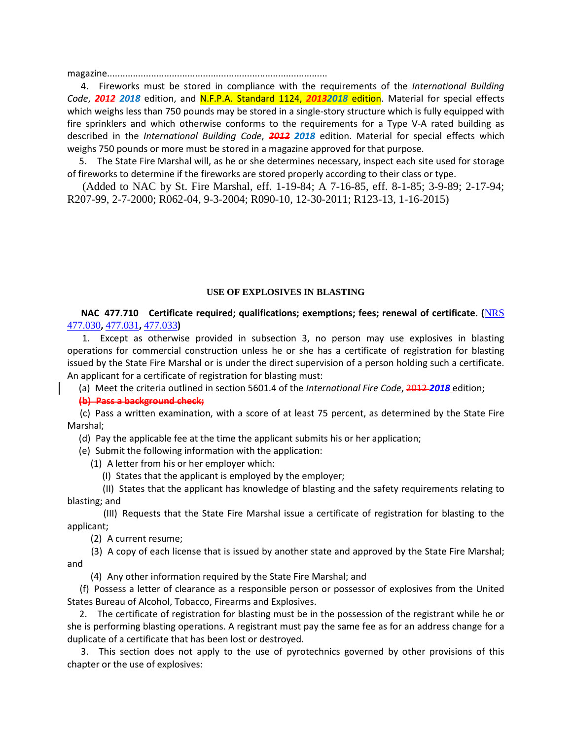magazine.....................................................................................

 4. Fireworks must be stored in compliance with the requirements of the *International Building Code*, *2012 2018* edition, and N.F.P.A. Standard 1124, *20132018* edition. Material for special effects which weighs less than 750 pounds may be stored in a single-story structure which is fully equipped with fire sprinklers and which otherwise conforms to the requirements for a Type V-A rated building as described in the *International Building Code*, *2012 2018* edition. Material for special effects which weighs 750 pounds or more must be stored in a magazine approved for that purpose.

 5. The State Fire Marshal will, as he or she determines necessary, inspect each site used for storage of fireworks to determine if the fireworks are stored properly according to their class or type.

 (Added to NAC by St. Fire Marshal, eff. 1-19-84; A 7-16-85, eff. 8-1-85; 3-9-89; 2-17-94; R207-99, 2-7-2000; R062-04, 9-3-2004; R090-10, 12-30-2011; R123-13, 1-16-2015)

# **USE OF EXPLOSIVES IN BLASTING**

 **NAC 477.710 Certificate required; qualifications; exemptions; fees; renewal of certificate. (**[NRS](https://www.leg.state.nv.us/NRS/NRS-477.html#NRS477Sec030)  [477.030](https://www.leg.state.nv.us/NRS/NRS-477.html#NRS477Sec030)**,** [477.031](https://www.leg.state.nv.us/NRS/NRS-477.html#NRS477Sec031)**,** [477.033](https://www.leg.state.nv.us/NRS/NRS-477.html#NRS477Sec033)**)**

 1. Except as otherwise provided in subsection 3, no person may use explosives in blasting operations for commercial construction unless he or she has a certificate of registration for blasting issued by the State Fire Marshal or is under the direct supervision of a person holding such a certificate. An applicant for a certificate of registration for blasting must:

(a) Meet the criteria outlined in section 5601.4 of the *International Fire Code*, 2012 *2018* edition;

**(b) Pass a background check;**

 (c) Pass a written examination, with a score of at least 75 percent, as determined by the State Fire Marshal;

(d) Pay the applicable fee at the time the applicant submits his or her application;

(e) Submit the following information with the application:

(1) A letter from his or her employer which:

(I) States that the applicant is employed by the employer;

 (II) States that the applicant has knowledge of blasting and the safety requirements relating to blasting; and

 (III) Requests that the State Fire Marshal issue a certificate of registration for blasting to the applicant;

(2) A current resume;

 (3) A copy of each license that is issued by another state and approved by the State Fire Marshal; and

(4) Any other information required by the State Fire Marshal; and

 (f) Possess a letter of clearance as a responsible person or possessor of explosives from the United States Bureau of Alcohol, Tobacco, Firearms and Explosives.

 2. The certificate of registration for blasting must be in the possession of the registrant while he or she is performing blasting operations. A registrant must pay the same fee as for an address change for a duplicate of a certificate that has been lost or destroyed.

 3. This section does not apply to the use of pyrotechnics governed by other provisions of this chapter or the use of explosives: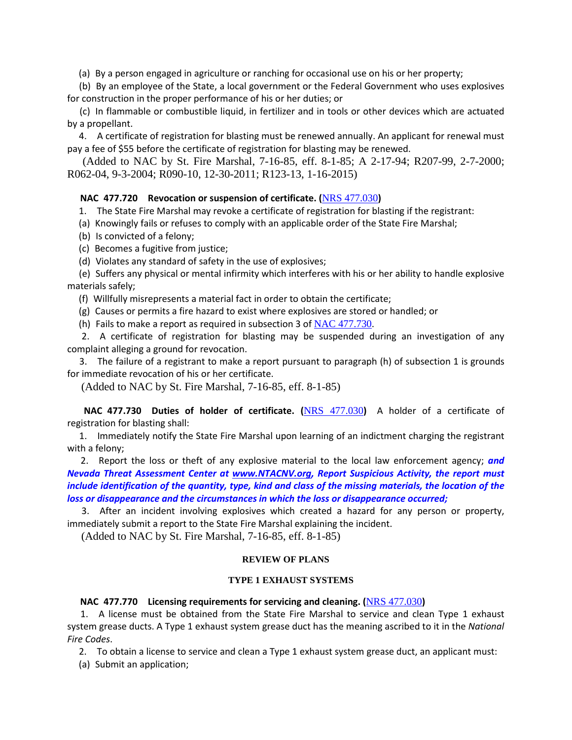(a) By a person engaged in agriculture or ranching for occasional use on his or her property;

 (b) By an employee of the State, a local government or the Federal Government who uses explosives for construction in the proper performance of his or her duties; or

 (c) In flammable or combustible liquid, in fertilizer and in tools or other devices which are actuated by a propellant.

 4. A certificate of registration for blasting must be renewed annually. An applicant for renewal must pay a fee of \$55 before the certificate of registration for blasting may be renewed.

 (Added to NAC by St. Fire Marshal, 7-16-85, eff. 8-1-85; A 2-17-94; R207-99, 2-7-2000; R062-04, 9-3-2004; R090-10, 12-30-2011; R123-13, 1-16-2015)

# **NAC 477.720 Revocation or suspension of certificate. (**[NRS 477.030](https://www.leg.state.nv.us/NRS/NRS-477.html#NRS477Sec030)**)**

1. The State Fire Marshal may revoke a certificate of registration for blasting if the registrant:

- (a) Knowingly fails or refuses to comply with an applicable order of the State Fire Marshal;
- (b) Is convicted of a felony;
- (c) Becomes a fugitive from justice;
- (d) Violates any standard of safety in the use of explosives;

 (e) Suffers any physical or mental infirmity which interferes with his or her ability to handle explosive materials safely;

(f) Willfully misrepresents a material fact in order to obtain the certificate;

(g) Causes or permits a fire hazard to exist where explosives are stored or handled; or

(h) Fails to make a report as required in subsection 3 of  $NAC$  477.730.

 2. A certificate of registration for blasting may be suspended during an investigation of any complaint alleging a ground for revocation.

 3. The failure of a registrant to make a report pursuant to paragraph (h) of subsection 1 is grounds for immediate revocation of his or her certificate.

(Added to NAC by St. Fire Marshal, 7-16-85, eff. 8-1-85)

 **NAC 477.730 Duties of holder of certificate. (**[NRS 477.030](https://www.leg.state.nv.us/NRS/NRS-477.html#NRS477Sec030)**)** A holder of a certificate of registration for blasting shall:

 1. Immediately notify the State Fire Marshal upon learning of an indictment charging the registrant with a felony;

 2. Report the loss or theft of any explosive material to the local law enforcement agency; *and Nevada Threat Assessment Center at [www.NTACNV.org,](http://www.ntacnv.org/) Report Suspicious Activity, the report must include identification of the quantity, type, kind and class of the missing materials, the location of the loss or disappearance and the circumstances in which the loss or disappearance occurred;*

 3. After an incident involving explosives which created a hazard for any person or property, immediately submit a report to the State Fire Marshal explaining the incident.

(Added to NAC by St. Fire Marshal, 7-16-85, eff. 8-1-85)

#### **REVIEW OF PLANS**

# **TYPE 1 EXHAUST SYSTEMS**

# **NAC 477.770 Licensing requirements for servicing and cleaning. (**[NRS 477.030](https://www.leg.state.nv.us/NRS/NRS-477.html#NRS477Sec030)**)**

 1. A license must be obtained from the State Fire Marshal to service and clean Type 1 exhaust system grease ducts. A Type 1 exhaust system grease duct has the meaning ascribed to it in the *National Fire Codes*.

2. To obtain a license to service and clean a Type 1 exhaust system grease duct, an applicant must:

(a) Submit an application;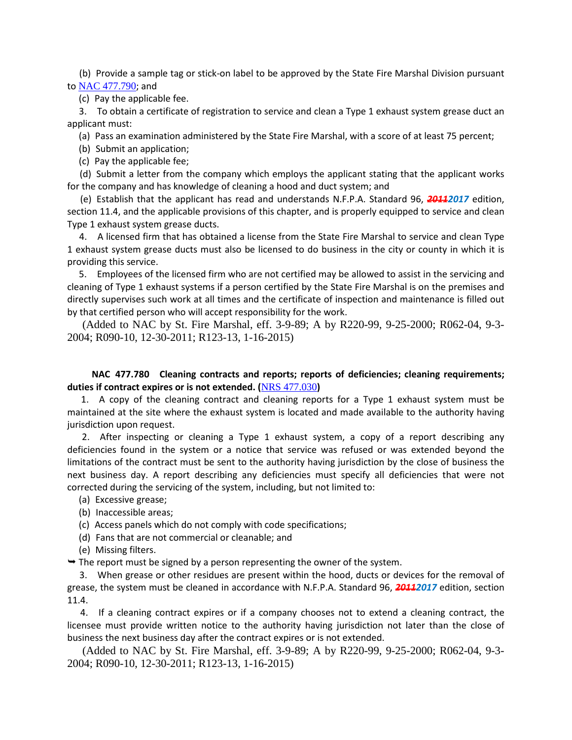(b) Provide a sample tag or stick-on label to be approved by the State Fire Marshal Division pursuant to [NAC 477.790](https://www.leg.state.nv.us/NAC/NAC-477.html#NAC477Sec790); and

(c) Pay the applicable fee.

 3. To obtain a certificate of registration to service and clean a Type 1 exhaust system grease duct an applicant must:

(a) Pass an examination administered by the State Fire Marshal, with a score of at least 75 percent;

(b) Submit an application;

(c) Pay the applicable fee;

 (d) Submit a letter from the company which employs the applicant stating that the applicant works for the company and has knowledge of cleaning a hood and duct system; and

 (e) Establish that the applicant has read and understands N.F.P.A. Standard 96, *20112017* edition, section 11.4, and the applicable provisions of this chapter, and is properly equipped to service and clean Type 1 exhaust system grease ducts.

 4. A licensed firm that has obtained a license from the State Fire Marshal to service and clean Type 1 exhaust system grease ducts must also be licensed to do business in the city or county in which it is providing this service.

 5. Employees of the licensed firm who are not certified may be allowed to assist in the servicing and cleaning of Type 1 exhaust systems if a person certified by the State Fire Marshal is on the premises and directly supervises such work at all times and the certificate of inspection and maintenance is filled out by that certified person who will accept responsibility for the work.

 (Added to NAC by St. Fire Marshal, eff. 3-9-89; A by R220-99, 9-25-2000; R062-04, 9-3- 2004; R090-10, 12-30-2011; R123-13, 1-16-2015)

# **NAC 477.780 Cleaning contracts and reports; reports of deficiencies; cleaning requirements; duties if contract expires or is not extended. (**[NRS 477.030](https://www.leg.state.nv.us/NRS/NRS-477.html#NRS477Sec030)**)**

 1. A copy of the cleaning contract and cleaning reports for a Type 1 exhaust system must be maintained at the site where the exhaust system is located and made available to the authority having jurisdiction upon request.

 2. After inspecting or cleaning a Type 1 exhaust system, a copy of a report describing any deficiencies found in the system or a notice that service was refused or was extended beyond the limitations of the contract must be sent to the authority having jurisdiction by the close of business the next business day. A report describing any deficiencies must specify all deficiencies that were not corrected during the servicing of the system, including, but not limited to:

- (a) Excessive grease;
- (b) Inaccessible areas;
- (c) Access panels which do not comply with code specifications;
- (d) Fans that are not commercial or cleanable; and
- (e) Missing filters.

 $\rightarrow$  The report must be signed by a person representing the owner of the system.

 3. When grease or other residues are present within the hood, ducts or devices for the removal of grease, the system must be cleaned in accordance with N.F.P.A. Standard 96, *20112017* edition, section 11.4.

 4. If a cleaning contract expires or if a company chooses not to extend a cleaning contract, the licensee must provide written notice to the authority having jurisdiction not later than the close of business the next business day after the contract expires or is not extended.

 (Added to NAC by St. Fire Marshal, eff. 3-9-89; A by R220-99, 9-25-2000; R062-04, 9-3- 2004; R090-10, 12-30-2011; R123-13, 1-16-2015)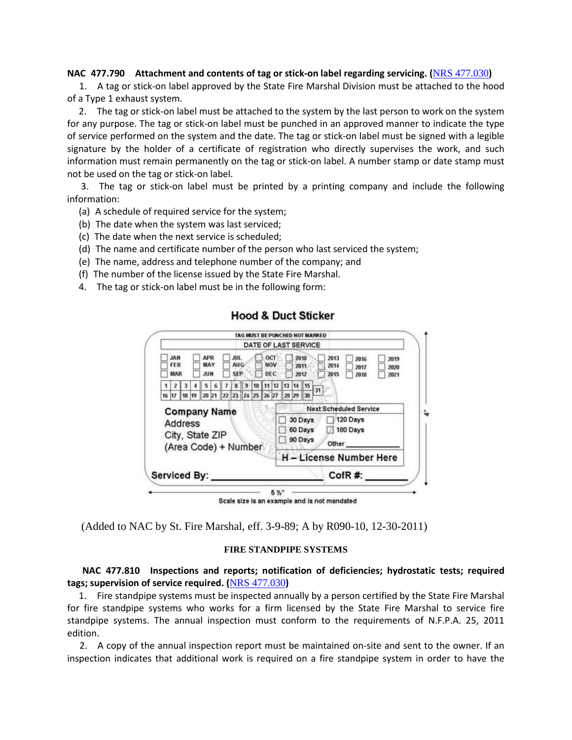# **NAC 477.790 Attachment and contents of tag or stick-on label regarding servicing. (**[NRS 477.030](https://www.leg.state.nv.us/NRS/NRS-477.html#NRS477Sec030)**)**

 1. A tag or stick-on label approved by the State Fire Marshal Division must be attached to the hood of a Type 1 exhaust system.

 2. The tag or stick-on label must be attached to the system by the last person to work on the system for any purpose. The tag or stick-on label must be punched in an approved manner to indicate the type of service performed on the system and the date. The tag or stick-on label must be signed with a legible signature by the holder of a certificate of registration who directly supervises the work, and such information must remain permanently on the tag or stick-on label. A number stamp or date stamp must not be used on the tag or stick-on label.

 3. The tag or stick-on label must be printed by a printing company and include the following information:

- (a) A schedule of required service for the system;
- (b) The date when the system was last serviced;
- (c) The date when the next service is scheduled;
- (d) The name and certificate number of the person who last serviced the system;
- (e) The name, address and telephone number of the company; and
- (f) The number of the license issued by the State Fire Marshal.
- 4. The tag or stick-on label must be in the following form:

|                                             |         |       |                                                                |                                        |  |                          | TAG MUST BE PUNCHED NOT MARKED |                               |                                                                      |
|---------------------------------------------|---------|-------|----------------------------------------------------------------|----------------------------------------|--|--------------------------|--------------------------------|-------------------------------|----------------------------------------------------------------------|
|                                             |         |       |                                                                |                                        |  |                          | DATE OF LAST SERVICE           |                               |                                                                      |
| <b>HAL</b><br>FE <sub>B</sub><br><b>MAR</b> |         |       | <b>APR</b><br>MAY<br><b>JUN</b>                                | <b>JUL</b><br><b>AUG</b><br><b>SEP</b> |  | OCT<br><b>NOV</b><br>DEC |                                | 2818<br>2011<br>2012          | 2013<br>2019<br>2016<br>2014<br>2017<br>2020<br>2015<br>2021<br>2018 |
|                                             |         |       |                                                                |                                        |  | 11                       | 112                            | 14   15                       |                                                                      |
| 16 17                                       |         | 18 19 | 20 21 22 23 24 25 26 27                                        |                                        |  |                          |                                | 28 29 30                      | 31                                                                   |
|                                             | Address |       | <b>Company Name</b><br>City, State ZIP<br>(Area Code) + Number |                                        |  |                          |                                | 30 Days<br>60 Days<br>90 Days | 120 Days<br>180 Days<br>Other                                        |
|                                             |         |       |                                                                |                                        |  |                          |                                |                               | <b>H</b> - License Number Here                                       |
|                                             |         |       |                                                                |                                        |  |                          |                                |                               |                                                                      |

# **Hood & Duct Sticker**

(Added to NAC by St. Fire Marshal, eff. 3-9-89; A by R090-10, 12-30-2011)

# **FIRE STANDPIPE SYSTEMS**

 **NAC 477.810 Inspections and reports; notification of deficiencies; hydrostatic tests; required tags; supervision of service required. (**[NRS 477.030](https://www.leg.state.nv.us/NRS/NRS-477.html#NRS477Sec030)**)**

 1. Fire standpipe systems must be inspected annually by a person certified by the State Fire Marshal for fire standpipe systems who works for a firm licensed by the State Fire Marshal to service fire standpipe systems. The annual inspection must conform to the requirements of N.F.P.A. 25, 2011 edition.

 2. A copy of the annual inspection report must be maintained on-site and sent to the owner. If an inspection indicates that additional work is required on a fire standpipe system in order to have the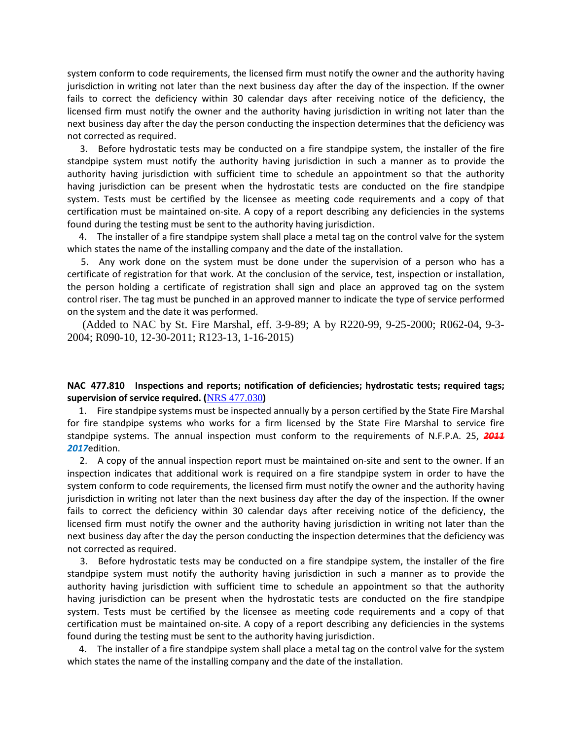system conform to code requirements, the licensed firm must notify the owner and the authority having jurisdiction in writing not later than the next business day after the day of the inspection. If the owner fails to correct the deficiency within 30 calendar days after receiving notice of the deficiency, the licensed firm must notify the owner and the authority having jurisdiction in writing not later than the next business day after the day the person conducting the inspection determines that the deficiency was not corrected as required.

 3. Before hydrostatic tests may be conducted on a fire standpipe system, the installer of the fire standpipe system must notify the authority having jurisdiction in such a manner as to provide the authority having jurisdiction with sufficient time to schedule an appointment so that the authority having jurisdiction can be present when the hydrostatic tests are conducted on the fire standpipe system. Tests must be certified by the licensee as meeting code requirements and a copy of that certification must be maintained on-site. A copy of a report describing any deficiencies in the systems found during the testing must be sent to the authority having jurisdiction.

 4. The installer of a fire standpipe system shall place a metal tag on the control valve for the system which states the name of the installing company and the date of the installation.

 5. Any work done on the system must be done under the supervision of a person who has a certificate of registration for that work. At the conclusion of the service, test, inspection or installation, the person holding a certificate of registration shall sign and place an approved tag on the system control riser. The tag must be punched in an approved manner to indicate the type of service performed on the system and the date it was performed.

 (Added to NAC by St. Fire Marshal, eff. 3-9-89; A by R220-99, 9-25-2000; R062-04, 9-3- 2004; R090-10, 12-30-2011; R123-13, 1-16-2015)

# **NAC 477.810 Inspections and reports; notification of deficiencies; hydrostatic tests; required tags; supervision of service required. (**[NRS 477.030](https://www.leg.state.nv.us/NRS/NRS-477.html#NRS477Sec030)**)**

 1. Fire standpipe systems must be inspected annually by a person certified by the State Fire Marshal for fire standpipe systems who works for a firm licensed by the State Fire Marshal to service fire standpipe systems. The annual inspection must conform to the requirements of N.F.P.A. 25, *2011 2017*edition.

 2. A copy of the annual inspection report must be maintained on-site and sent to the owner. If an inspection indicates that additional work is required on a fire standpipe system in order to have the system conform to code requirements, the licensed firm must notify the owner and the authority having jurisdiction in writing not later than the next business day after the day of the inspection. If the owner fails to correct the deficiency within 30 calendar days after receiving notice of the deficiency, the licensed firm must notify the owner and the authority having jurisdiction in writing not later than the next business day after the day the person conducting the inspection determines that the deficiency was not corrected as required.

 3. Before hydrostatic tests may be conducted on a fire standpipe system, the installer of the fire standpipe system must notify the authority having jurisdiction in such a manner as to provide the authority having jurisdiction with sufficient time to schedule an appointment so that the authority having jurisdiction can be present when the hydrostatic tests are conducted on the fire standpipe system. Tests must be certified by the licensee as meeting code requirements and a copy of that certification must be maintained on-site. A copy of a report describing any deficiencies in the systems found during the testing must be sent to the authority having jurisdiction.

 4. The installer of a fire standpipe system shall place a metal tag on the control valve for the system which states the name of the installing company and the date of the installation.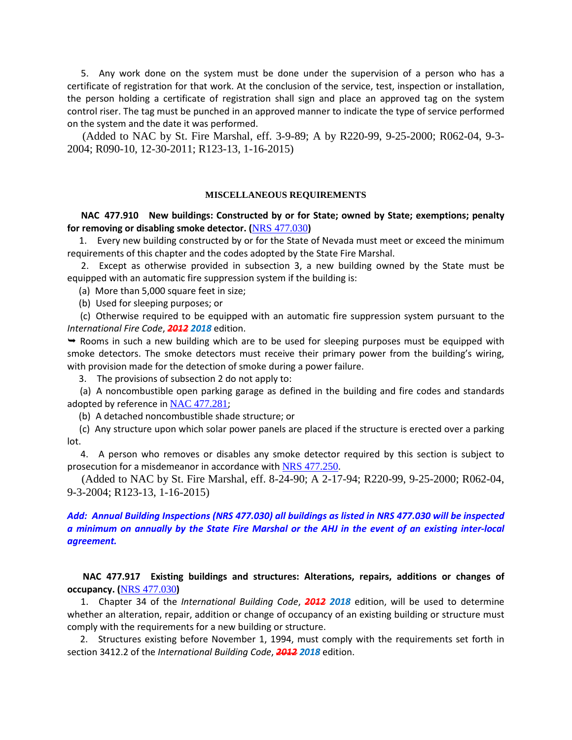5. Any work done on the system must be done under the supervision of a person who has a certificate of registration for that work. At the conclusion of the service, test, inspection or installation, the person holding a certificate of registration shall sign and place an approved tag on the system control riser. The tag must be punched in an approved manner to indicate the type of service performed on the system and the date it was performed.

 (Added to NAC by St. Fire Marshal, eff. 3-9-89; A by R220-99, 9-25-2000; R062-04, 9-3- 2004; R090-10, 12-30-2011; R123-13, 1-16-2015)

#### **MISCELLANEOUS REQUIREMENTS**

 **NAC 477.910 New buildings: Constructed by or for State; owned by State; exemptions; penalty for removing or disabling smoke detector. (**[NRS 477.030](https://www.leg.state.nv.us/NRS/NRS-477.html#NRS477Sec030)**)**

 1. Every new building constructed by or for the State of Nevada must meet or exceed the minimum requirements of this chapter and the codes adopted by the State Fire Marshal.

 2. Except as otherwise provided in subsection 3, a new building owned by the State must be equipped with an automatic fire suppression system if the building is:

(a) More than 5,000 square feet in size;

(b) Used for sleeping purposes; or

 (c) Otherwise required to be equipped with an automatic fire suppression system pursuant to the *International Fire Code*, *2012 2018* edition.

 $\rightarrow$  Rooms in such a new building which are to be used for sleeping purposes must be equipped with smoke detectors. The smoke detectors must receive their primary power from the building's wiring, with provision made for the detection of smoke during a power failure.

3. The provisions of subsection 2 do not apply to:

 (a) A noncombustible open parking garage as defined in the building and fire codes and standards adopted by reference in [NAC 477.281](https://www.leg.state.nv.us/NAC/NAC-477.html#NAC477Sec281);

(b) A detached noncombustible shade structure; or

 (c) Any structure upon which solar power panels are placed if the structure is erected over a parking lot.

 4. A person who removes or disables any smoke detector required by this section is subject to prosecution for a misdemeanor in accordance with [NRS 477.250](https://www.leg.state.nv.us/NRS/NRS-477.html#NRS477Sec250).

 (Added to NAC by St. Fire Marshal, eff. 8-24-90; A 2-17-94; R220-99, 9-25-2000; R062-04, 9-3-2004; R123-13, 1-16-2015)

# *Add: Annual Building Inspections (NRS 477.030) all buildings as listed in NRS 477.030 will be inspected a minimum on annually by the State Fire Marshal or the AHJ in the event of an existing inter-local agreement.*

# **NAC 477.917 Existing buildings and structures: Alterations, repairs, additions or changes of occupancy. (**[NRS 477.030](https://www.leg.state.nv.us/NRS/NRS-477.html#NRS477Sec030)**)**

 1. Chapter 34 of the *International Building Code*, *2012 2018* edition, will be used to determine whether an alteration, repair, addition or change of occupancy of an existing building or structure must comply with the requirements for a new building or structure.

 2. Structures existing before November 1, 1994, must comply with the requirements set forth in section 3412.2 of the *International Building Code*, *2012 2018* edition.